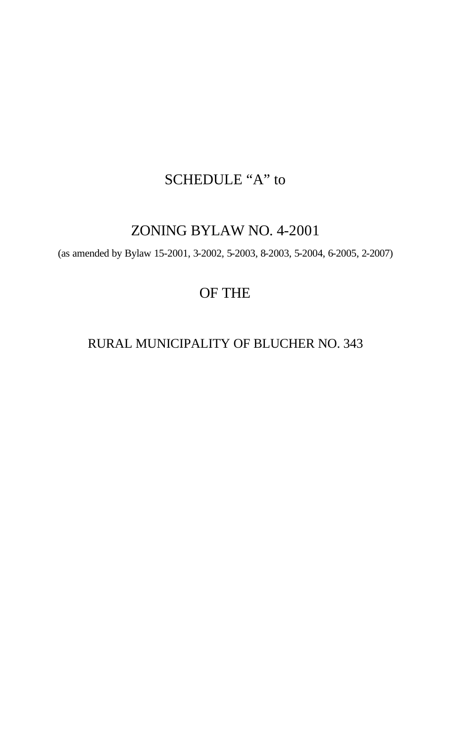# SCHEDULE "A" to

# ZONING BYLAW NO. 4-2001

(as amended by Bylaw 15-2001, 3-2002, 5-2003, 8-2003, 5-2004, 6-2005, 2-2007)

# OF THE

# RURAL MUNICIPALITY OF BLUCHER NO. 343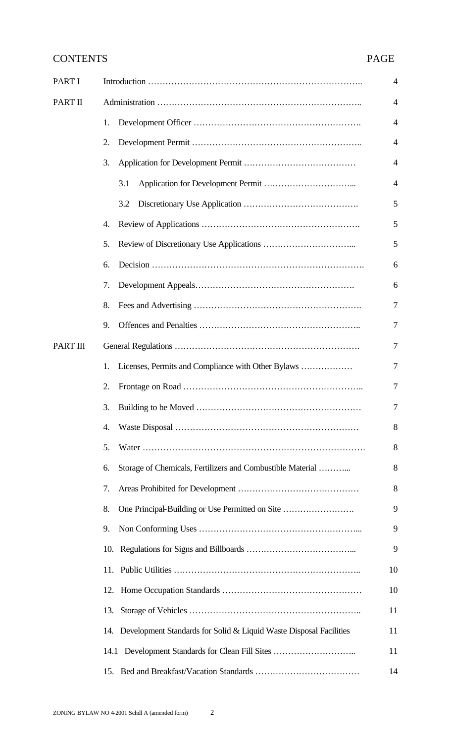# CONTENTS PAGE

| <b>PART I</b>   |                                                                        | $\overline{4}$ |  |  |
|-----------------|------------------------------------------------------------------------|----------------|--|--|
| PART II         |                                                                        | $\overline{4}$ |  |  |
|                 | 1.                                                                     | $\overline{4}$ |  |  |
|                 | 2.                                                                     | $\overline{4}$ |  |  |
|                 | 3.                                                                     | $\overline{A}$ |  |  |
|                 | 3.1                                                                    | $\overline{4}$ |  |  |
|                 | 3.2                                                                    | 5              |  |  |
|                 | 4.                                                                     | 5              |  |  |
|                 | 5.                                                                     | 5              |  |  |
|                 | 6.                                                                     | 6              |  |  |
|                 | 7.                                                                     | 6              |  |  |
|                 | 8.                                                                     | $\overline{7}$ |  |  |
|                 | 9.                                                                     | 7              |  |  |
| <b>PART III</b> |                                                                        |                |  |  |
|                 | Licenses, Permits and Compliance with Other Bylaws<br>1.               | 7              |  |  |
|                 | 2.                                                                     | 7              |  |  |
|                 | 3.                                                                     | 7              |  |  |
|                 | 4.                                                                     | 8              |  |  |
|                 | 5.                                                                     | 8              |  |  |
|                 | Storage of Chemicals, Fertilizers and Combustible Material<br>6.       | 8              |  |  |
|                 | 7.                                                                     | 8              |  |  |
|                 | One Principal-Building or Use Permitted on Site<br>8.                  | 9              |  |  |
|                 | 9.                                                                     | 9              |  |  |
|                 | 10.                                                                    | 9              |  |  |
|                 | 11.                                                                    | 10             |  |  |
|                 | 12.                                                                    | 10             |  |  |
|                 | 13.                                                                    | 11             |  |  |
|                 | 14. Development Standards for Solid & Liquid Waste Disposal Facilities | 11             |  |  |
|                 | 14.1 Development Standards for Clean Fill Sites                        | 11             |  |  |
|                 |                                                                        | 14             |  |  |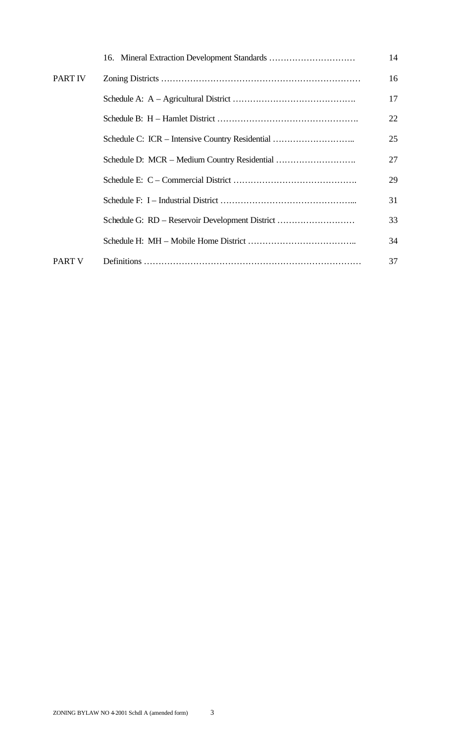|                | 16. Mineral Extraction Development Standards    | 14 |
|----------------|-------------------------------------------------|----|
| <b>PART IV</b> |                                                 | 16 |
|                |                                                 | 17 |
|                |                                                 | 22 |
|                | Schedule C: ICR – Intensive Country Residential | 25 |
|                |                                                 | 27 |
|                |                                                 | 29 |
|                |                                                 | 31 |
|                | Schedule G: RD - Reservoir Development District | 33 |
|                |                                                 | 34 |
| <b>PART V</b>  |                                                 | 37 |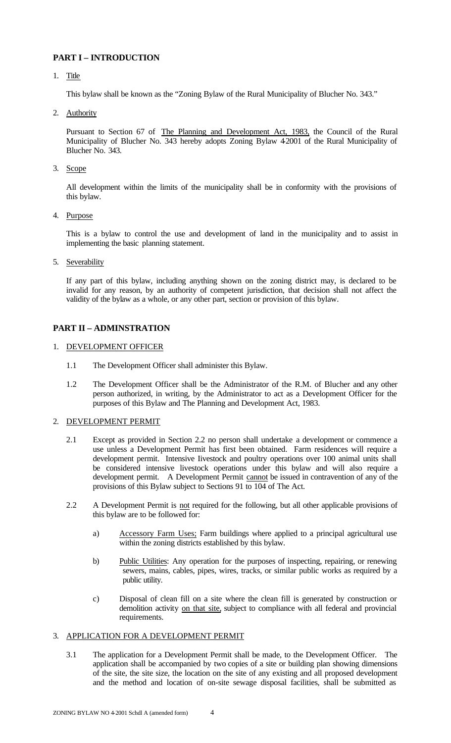# **PART I – INTRODUCTION**

1. Title

This bylaw shall be known as the "Zoning Bylaw of the Rural Municipality of Blucher No. 343."

2. Authority

Pursuant to Section 67 of The Planning and Development Act, 1983, the Council of the Rural Municipality of Blucher No. 343 hereby adopts Zoning Bylaw 42001 of the Rural Municipality of Blucher No. 343.

3. Scope

All development within the limits of the municipality shall be in conformity with the provisions of this bylaw.

4. Purpose

This is a bylaw to control the use and development of land in the municipality and to assist in implementing the basic planning statement.

5. Severability

If any part of this bylaw, including anything shown on the zoning district may, is declared to be invalid for any reason, by an authority of competent jurisdiction, that decision shall not affect the validity of the bylaw as a whole, or any other part, section or provision of this bylaw.

# **PART II – ADMINSTRATION**

- 1. DEVELOPMENT OFFICER
	- 1.1 The Development Officer shall administer this Bylaw.
	- 1.2 The Development Officer shall be the Administrator of the R.M. of Blucher and any other person authorized, in writing, by the Administrator to act as a Development Officer for the purposes of this Bylaw and The Planning and Development Act, 1983.

#### 2. DEVELOPMENT PERMIT

- 2.1 Except as provided in Section 2.2 no person shall undertake a development or commence a use unless a Development Permit has first been obtained. Farm residences will require a development permit. Intensive Iivestock and poultry operations over 100 animal units shall be considered intensive livestock operations under this bylaw and will also require a development permit. A Development Permit cannot be issued in contravention of any of the provisions of this Bylaw subject to Sections 91 to 104 of The Act.
- 2.2 A Development Permit is not required for the following, but all other applicable provisions of this bylaw are to be followed for:
	- a) Accessory Farm Uses; Farm buildings where applied to a principal agricultural use within the zoning districts established by this bylaw.
	- b) Public Utilities: Any operation for the purposes of inspecting, repairing, or renewing sewers, mains, cables, pipes, wires, tracks, or similar public works as required by a public utility.
	- c) Disposal of clean fill on a site where the clean fill is generated by construction or demolition activity on that site, subject to compliance with all federal and provincial requirements.

#### 3. APPLICATION FOR A DEVELOPMENT PERMIT

3.1 The application for a Development Permit shall be made, to the Development Officer. The application shall be accompanied by two copies of a site or building plan showing dimensions of the site, the site size, the location on the site of any existing and all proposed development and the method and location of on-site sewage disposal facilities, shall be submitted as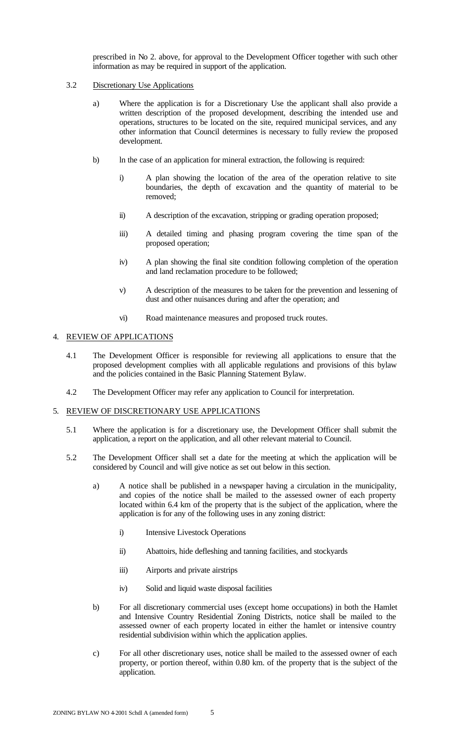prescribed in No 2. above, for approval to the Development Officer together with such other information as may be required in support of the application.

# 3.2 Discretionary Use Applications

- a) Where the application is for a Discretionary Use the applicant shall also provide a written description of the proposed development, describing the intended use and operations, structures to be located on the site, required municipal services, and any other information that Council determines is necessary to fully review the proposed development.
- b) ln the case of an application for mineral extraction, the following is required:
	- i) A plan showing the location of the area of the operation relative to site boundaries, the depth of excavation and the quantity of material to be removed;
	- ii) A description of the excavation, stripping or grading operation proposed;
	- iii) A detailed timing and phasing program covering the time span of the proposed operation;
	- iv) A plan showing the final site condition following completion of the operation and land reclamation procedure to be followed;
	- v) A description of the measures to be taken for the prevention and lessening of dust and other nuisances during and after the operation; and
	- vi) Road maintenance measures and proposed truck routes.

# 4. REVIEW OF APPLICATIONS

- 4.1 The Development Officer is responsible for reviewing all applications to ensure that the proposed development complies with all applicable regulations and provisions of this bylaw and the policies contained in the Basic Planning Statement Bylaw.
- 4.2 The Development Officer may refer any application to Council for interpretation.

# 5. REVIEW OF DISCRETIONARY USE APPLICATIONS

- 5.1 Where the application is for a discretionary use, the Development Officer shall submit the application, a report on the application, and all other relevant material to Council.
- 5.2 The Development Officer shall set a date for the meeting at which the application will be considered by Council and will give notice as set out below in this section.
	- a) A notice shall be published in a newspaper having a circulation in the municipality, and copies of the notice shall be mailed to the assessed owner of each property located within 6.4 km of the property that is the subject of the application, where the application is for any of the following uses in any zoning district:
		- i) Intensive Livestock Operations
		- ii) Abattoirs, hide defleshing and tanning facilities, and stockyards
		- iii) Airports and private airstrips
		- iv) Solid and liquid waste disposal facilities
	- b) For all discretionary commercial uses (except home occupations) in both the Hamlet and Intensive Country Residential Zoning Districts, notice shall be mailed to the assessed owner of each property located in either the hamlet or intensive country residential subdivision within which the application applies.
	- c) For all other discretionary uses, notice shall be mailed to the assessed owner of each property, or portion thereof, within 0.80 km. of the property that is the subject of the application.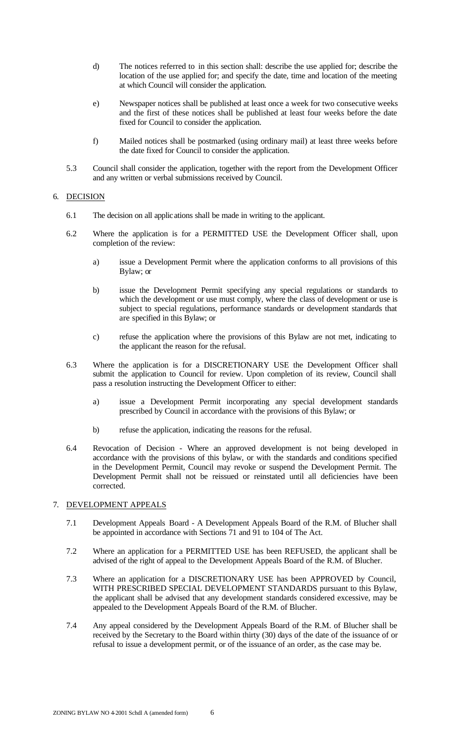- d) The notices referred to in this section shall: describe the use applied for; describe the location of the use applied for; and specify the date, time and location of the meeting at which Council will consider the application.
- e) Newspaper notices shall be published at least once a week for two consecutive weeks and the first of these notices shall be published at least four weeks before the date fixed for Council to consider the application.
- f) Mailed notices shall be postmarked (using ordinary mail) at least three weeks before the date fixed for Council to consider the application.
- 5.3 Council shall consider the application, together with the report from the Development Officer and any written or verbal submissions received by Council.

# 6. DECISION

- 6.1 The decision on all applications shall be made in writing to the applicant.
- 6.2 Where the application is for a PERMITTED USE the Development Officer shall, upon completion of the review:
	- a) issue a Development Permit where the application conforms to all provisions of this Bylaw; or
	- b) issue the Development Permit specifying any special regulations or standards to which the development or use must comply, where the class of development or use is subject to special regulations, performance standards or development standards that are specified in this Bylaw; or
	- c) refuse the application where the provisions of this Bylaw are not met, indicating to the applicant the reason for the refusal.
- 6.3 Where the application is for a DISCRETIONARY USE the Development Officer shall submit the application to Council for review. Upon completion of its review, Council shall pass a resolution instructing the Development Officer to either:
	- a) issue a Development Permit incorporating any special development standards prescribed by Council in accordance with the provisions of this Bylaw; or
	- b) refuse the application, indicating the reasons for the refusal.
- 6.4 Revocation of Decision Where an approved development is not being developed in accordance with the provisions of this bylaw, or with the standards and conditions specified in the Development Permit, Council may revoke or suspend the Development Permit. The Development Permit shall not be reissued or reinstated until all deficiencies have been corrected.

#### 7. DEVELOPMENT APPEALS

- 7.1 Development Appeals Board A Development Appeals Board of the R.M. of Blucher shall be appointed in accordance with Sections 71 and 91 to 104 of The Act.
- 7.2 Where an application for a PERMITTED USE has been REFUSED, the applicant shall be advised of the right of appeal to the Development Appeals Board of the R.M. of Blucher.
- 7.3 Where an application for a DISCRETIONARY USE has been APPROVED by Council, WITH PRESCRIBED SPECIAL DEVELOPMENT STANDARDS pursuant to this Bylaw, the applicant shall be advised that any development standards considered excessive, may be appealed to the Development Appeals Board of the R.M. of Blucher.
- 7.4 Any appeal considered by the Development Appeals Board of the R.M. of Blucher shall be received by the Secretary to the Board within thirty (30) days of the date of the issuance of or refusal to issue a development permit, or of the issuance of an order, as the case may be.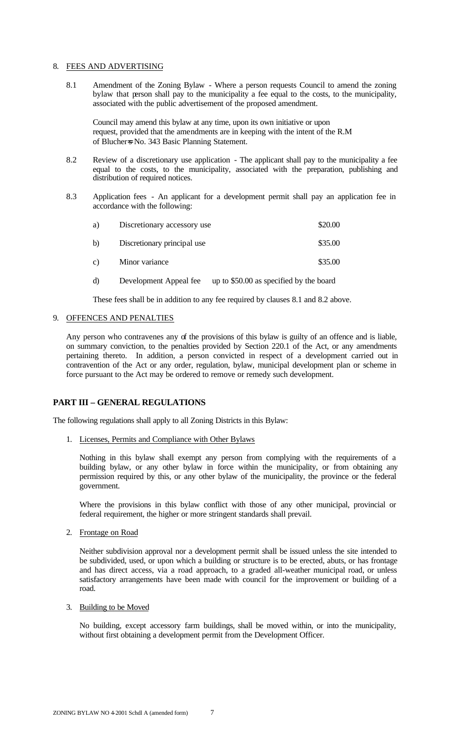#### 8. FEES AND ADVERTISING

8.1 Amendment of the Zoning Bylaw - Where a person requests Council to amend the zoning bylaw that person shall pay to the municipality a fee equal to the costs, to the municipality, associated with the public advertisement of the proposed amendment.

Council may amend this bylaw at any time, upon its own initiative or upon request, provided that the amendments are in keeping with the intent of the R.M of Blucher=s No. 343 Basic Planning Statement.

- 8.2 Review of a discretionary use application The applicant shall pay to the municipality a fee equal to the costs, to the municipality, associated with the preparation, publishing and distribution of required notices.
- 8.3 Application fees An applicant for a development permit shall pay an application fee in accordance with the following:

| a)             | Discretionary accessory use | \$20.00 |
|----------------|-----------------------------|---------|
| b)             | Discretionary principal use | \$35.00 |
| $\mathbf{c}$ ) | Minor variance              | \$35.00 |

d) Development Appeal fee up to \$50.00 as specified by the board

These fees shall be in addition to any fee required by clauses 8.1 and 8.2 above.

#### 9. OFFENCES AND PENALTIES

Any person who contravenes any of the provisions of this bylaw is guilty of an offence and is liable, on summary conviction, to the penalties provided by Section 220.1 of the Act, or any amendments pertaining thereto. In addition, a person convicted in respect of a development carried out in contravention of the Act or any order, regulation, bylaw, municipal development plan or scheme in force pursuant to the Act may be ordered to remove or remedy such development.

# **PART III – GENERAL REGULATIONS**

The following regulations shall apply to all Zoning Districts in this Bylaw:

1. Licenses, Permits and Compliance with Other Bylaws

Nothing in this bylaw shall exempt any person from complying with the requirements of a building bylaw, or any other bylaw in force within the municipality, or from obtaining any permission required by this, or any other bylaw of the municipality, the province or the federal government.

Where the provisions in this bylaw conflict with those of any other municipal, provincial or federal requirement, the higher or more stringent standards shall prevail.

2. Frontage on Road

Neither subdivision approval nor a development permit shall be issued unless the site intended to be subdivided, used, or upon which a building or structure is to be erected, abuts, or has frontage and has direct access, via a road approach, to a graded all-weather municipal road, or unless satisfactory arrangements have been made with council for the improvement or building of a road.

3. Building to be Moved

No building, except accessory farm buildings, shall be moved within, or into the municipality, without first obtaining a development permit from the Development Officer.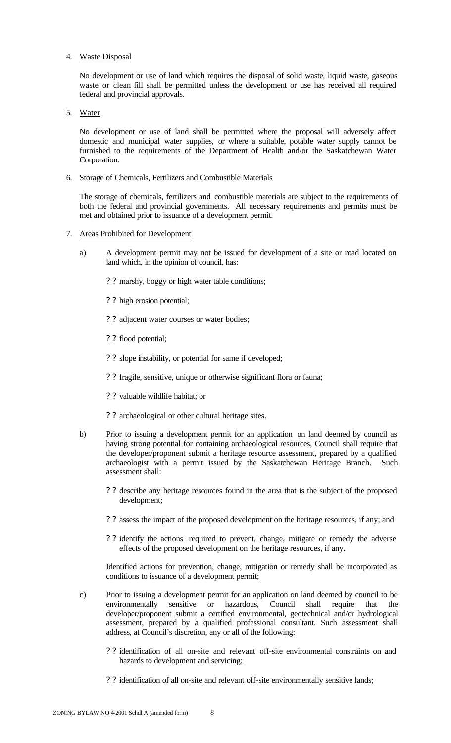#### 4. Waste Disposal

No development or use of land which requires the disposal of solid waste, liquid waste, gaseous waste or clean fill shall be permitted unless the development or use has received all required federal and provincial approvals.

### 5. Water

No development or use of land shall be permitted where the proposal will adversely affect domestic and municipal water supplies, or where a suitable, potable water supply cannot be furnished to the requirements of the Department of Health and/or the Saskatchewan Water Corporation.

#### 6. Storage of Chemicals, Fertilizers and Combustible Materials

The storage of chemicals, fertilizers and combustible materials are subject to the requirements of both the federal and provincial governments. All necessary requirements and permits must be met and obtained prior to issuance of a development permit.

# 7. Areas Prohibited for Development

- a) A development permit may not be issued for development of a site or road located on land which, in the opinion of council, has:
	- ? ? marshy, boggy or high water table conditions;
	- ? ? high erosion potential;
	- ? ? adjacent water courses or water bodies;
	- ? ? flood potential;
	- ? ? slope instability, or potential for same if developed;
	- ? ? fragile, sensitive, unique or otherwise significant flora or fauna;
	- ? ? valuable wildlife habitat; or
	- ? ? archaeological or other cultural heritage sites.
- b) Prior to issuing a development permit for an application on land deemed by council as having strong potential for containing archaeological resources, Council shall require that the developer/proponent submit a heritage resource assessment, prepared by a qualified archaeologist with a permit issued by the Saskatchewan Heritage Branch. Such assessment shall:
	- ? ? describe any heritage resources found in the area that is the subject of the proposed development;
	- ? ? assess the impact of the proposed development on the heritage resources, if any; and
	- ? ? identify the actions required to prevent, change, mitigate or remedy the adverse effects of the proposed development on the heritage resources, if any.

Identified actions for prevention, change, mitigation or remedy shall be incorporated as conditions to issuance of a development permit;

- c) Prior to issuing a development permit for an application on land deemed by council to be environmentally sensitive or hazardous, Council shall require that the developer/proponent submit a certified environmental, geotechnical and/or hydrological assessment, prepared by a qualified professional consultant. Such assessment shall address, at Council's discretion, any or all of the following:
	- ? ? identification of all on-site and relevant off-site environmental constraints on and hazards to development and servicing;
	- ? ? identification of all on-site and relevant off-site environmentally sensitive lands;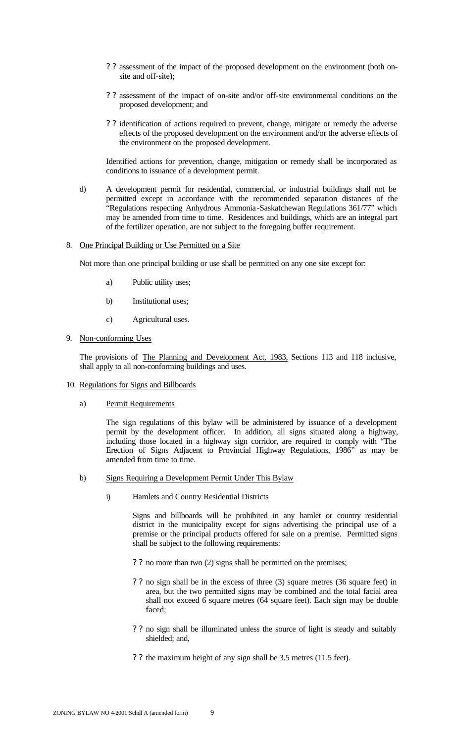- ? ? assessment of the impact of the proposed development on the environment (both onsite and off-site);
- ? ? assessment of the impact of on-site and/or off-site environmental conditions on the proposed development; and
- ? ? identification of actions required to prevent, change, mitigate or remedy the adverse effects of the proposed development on the environment and/or the adverse effects of the environment on the proposed development.

Identified actions for prevention, change, mitigation or remedy shall be incorporated as conditions to issuance of a development permit.

d) A development permit for residential, commercial, or industrial buildings shall not be permitted except in accordance with the recommended separation distances of the "Regulations respecting Anhydrous Ammonia-Saskatchewan Regulations 361/77" which may be amended from time to time. Residences and buildings, which are an integral part of the fertilizer operation, are not subject to the foregoing buffer requirement.

#### 8. One Principal Building or Use Permitted on a Site

Not more than one principal building or use shall be permitted on any one site except for:

- a) Public utility uses;
- b) Institutional uses;
- c) Agricultural uses.
- 9. Non-conforming Uses

The provisions of The Planning and Development Act, 1983, Sections 113 and 118 inclusive, shall apply to all non-conforming buildings and uses.

10. Regulations for Signs and Billboards

#### a) Permit Requirements

The sign regulations of this bylaw will be administered by issuance of a development permit by the development officer. In addition, all signs situated along a highway, including those located in a highway sign corridor, are required to comply with "The Erection of Signs Adjacent to Provincial Highway Regulations, 1986" as may be amended from time to time.

- b) Signs Requiring a Development Permit Under This Bylaw
	- i) Hamlets and Country Residential Districts

Signs and billboards will be prohibited in any hamlet or country residential district in the municipality except for signs advertising the principal use of a premise or the principal products offered for sale on a premise. Permitted signs shall be subject to the following requirements:

- ? ? no more than two (2) signs shall be permitted on the premises;
- ? ? no sign shall be in the excess of three (3) square metres (36 square feet) in area, but the two permitted signs may be combined and the total facial area shall not exceed  $\vec{6}$  square metres (64 square feet). Each sign may be double faced;
- ? ? no sign shall be illuminated unless the source of light is steady and suitably shielded; and,
- ? ? the maximum height of any sign shall be 3.5 metres (11.5 feet).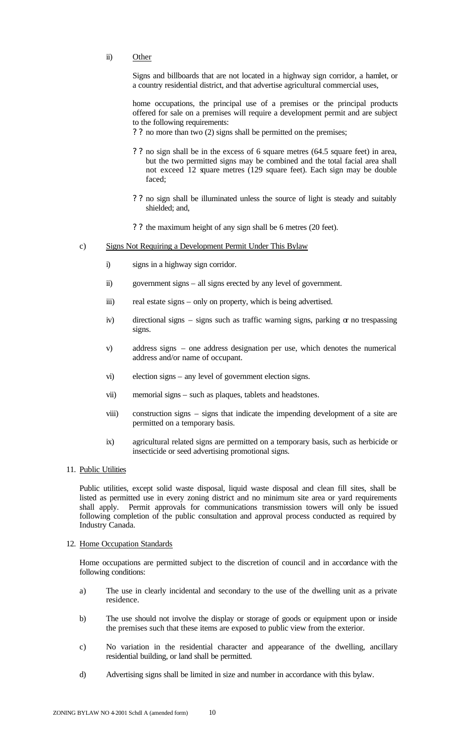ii) Other

Signs and billboards that are not located in a highway sign corridor, a hamlet, or a country residential district, and that advertise agricultural commercial uses,

home occupations, the principal use of a premises or the principal products offered for sale on a premises will require a development permit and are subject to the following requirements:

? ? no more than two (2) signs shall be permitted on the premises;

- ? ? no sign shall be in the excess of 6 square metres (64.5 square feet) in area, but the two permitted signs may be combined and the total facial area shall not exceed 12 square metres (129 square feet). Each sign may be double faced;
- ? ? no sign shall be illuminated unless the source of light is steady and suitably shielded; and,
- ? ? the maximum height of any sign shall be 6 metres (20 feet).
- c) Signs Not Requiring a Development Permit Under This Bylaw
	- i) signs in a highway sign corridor.
	- ii) government signs all signs erected by any level of government.
	- iii) real estate signs only on property, which is being advertised.
	- iv) directional signs signs such as traffic warning signs, parking  $\alpha$  no trespassing signs.
	- v) address signs one address designation per use, which denotes the numerical address and/or name of occupant.
	- vi) election signs any level of government election signs.
	- vii) memorial signs such as plaques, tablets and headstones.
	- viii) construction signs signs that indicate the impending development of a site are permitted on a temporary basis.
	- ix) agricultural related signs are permitted on a temporary basis, such as herbicide or insecticide or seed advertising promotional signs.
- 11. Public Utilities

Public utilities, except solid waste disposal, liquid waste disposal and clean fill sites, shall be listed as permitted use in every zoning district and no minimum site area or yard requirements shall apply. Permit approvals for communications transmission towers will only be issued following completion of the public consultation and approval process conducted as required by Industry Canada.

#### 12. Home Occupation Standards

Home occupations are permitted subject to the discretion of council and in accordance with the following conditions:

- a) The use in clearly incidental and secondary to the use of the dwelling unit as a private residence.
- b) The use should not involve the display or storage of goods or equipment upon or inside the premises such that these items are exposed to public view from the exterior.
- c) No variation in the residential character and appearance of the dwelling, ancillary residential building, or land shall be permitted.
- d) Advertising signs shall be limited in size and number in accordance with this bylaw.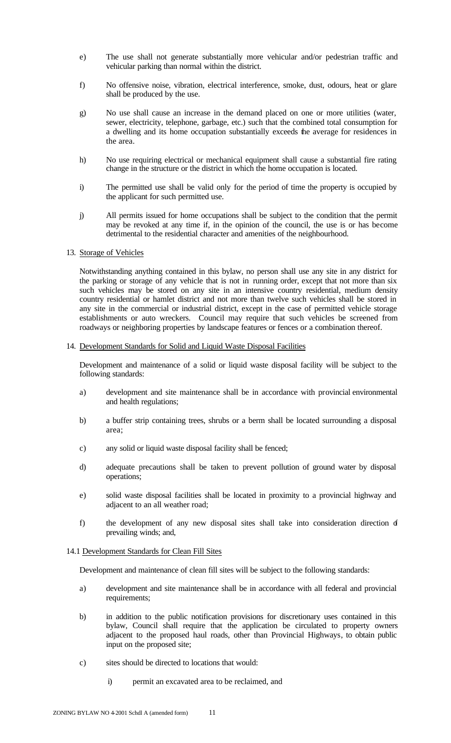- e) The use shall not generate substantially more vehicular and/or pedestrian traffic and vehicular parking than normal within the district.
- f) No offensive noise, vibration, electrical interference, smoke, dust, odours, heat or glare shall be produced by the use.
- g) No use shall cause an increase in the demand placed on one or more utilities (water, sewer, electricity, telephone, garbage, etc.) such that the combined total consumption for a dwelling and its home occupation substantially exceeds the average for residences in the area.
- h) No use requiring electrical or mechanical equipment shall cause a substantial fire rating change in the structure or the district in which the home occupation is located.
- i) The permitted use shall be valid only for the period of time the property is occupied by the applicant for such permitted use.
- j) All permits issued for home occupations shall be subject to the condition that the permit may be revoked at any time if, in the opinion of the council, the use is or has become detrimental to the residential character and amenities of the neighbourhood.

#### 13. Storage of Vehicles

Notwithstanding anything contained in this bylaw, no person shall use any site in any district for the parking or storage of any vehicle that is not in running order, except that not more than six such vehicles may be stored on any site in an intensive country residential, medium density country residential or hamlet district and not more than twelve such vehicles shall be stored in any site in the commercial or industrial district, except in the case of permitted vehicle storage establishments or auto wreckers. Council may require that such vehicles be screened from roadways or neighboring properties by landscape features or fences or a combination thereof.

#### 14. Development Standards for Solid and Liquid Waste Disposal Facilities

Development and maintenance of a solid or liquid waste disposal facility will be subject to the following standards:

- a) development and site maintenance shall be in accordance with provincial environmental and health regulations;
- b) a buffer strip containing trees, shrubs or a berm shall be located surrounding a disposal area;
- c) any solid or liquid waste disposal facility shall be fenced;
- d) adequate precautions shall be taken to prevent pollution of ground water by disposal operations;
- e) solid waste disposal facilities shall be located in proximity to a provincial highway and adjacent to an all weather road;
- f) the development of any new disposal sites shall take into consideration direction of prevailing winds; and,

#### 14.1 Development Standards for Clean Fill Sites

Development and maintenance of clean fill sites will be subject to the following standards:

- a) development and site maintenance shall be in accordance with all federal and provincial requirements;
- b) in addition to the public notification provisions for discretionary uses contained in this bylaw, Council shall require that the application be circulated to property owners adjacent to the proposed haul roads, other than Provincial Highways, to obtain public input on the proposed site;
- c) sites should be directed to locations that would:
	- i) permit an excavated area to be reclaimed, and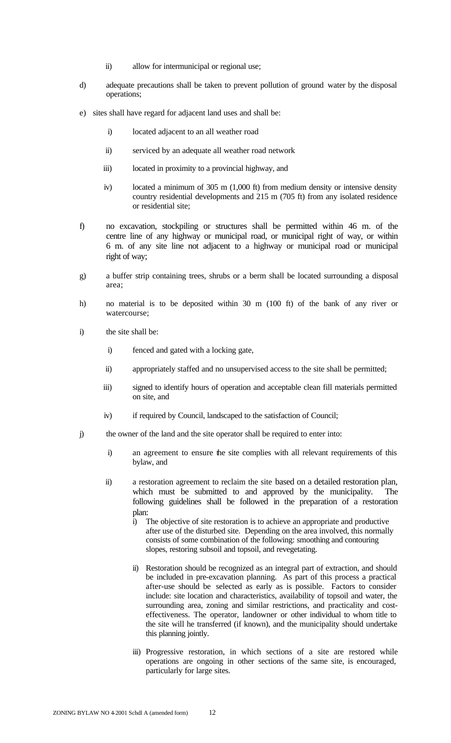- ii) allow for intermunicipal or regional use;
- d) adequate precautions shall be taken to prevent pollution of ground water by the disposal operations;
- e) sites shall have regard for adjacent land uses and shall be:
	- i) located adjacent to an all weather road
	- ii) serviced by an adequate all weather road network
	- iii) located in proximity to a provincial highway, and
	- iv) located a minimum of 305 m (1,000 ft) from medium density or intensive density country residential developments and 215 m (705 ft) from any isolated residence or residential site;
- f) no excavation, stockpiling or structures shall be permitted within 46 m. of the centre line of any highway or municipal road, or municipal right of way, or within 6 m. of any site line not adjacent to a highway or municipal road or municipal right of way;
- g) a buffer strip containing trees, shrubs or a berm shall be located surrounding a disposal area;
- h) no material is to be deposited within 30 m (100 ft) of the bank of any river or watercourse;
- i) the site shall be:
	- i) fenced and gated with a locking gate,
	- ii) appropriately staffed and no unsupervised access to the site shall be permitted;
	- iii) signed to identify hours of operation and acceptable clean fill materials permitted on site, and
	- iv) if required by Council, landscaped to the satisfaction of Council;
- j) the owner of the land and the site operator shall be required to enter into:
	- i) an agreement to ensure the site complies with all relevant requirements of this bylaw, and
	- ii) a restoration agreement to reclaim the site based on a detailed restoration plan, which must be submitted to and approved by the municipality. The following guidelines shall be followed in the preparation of a restoration plan:
		- i) The objective of site restoration is to achieve an appropriate and productive after use of the disturbed site. Depending on the area involved, this normally consists of some combination of the following: smoothing and contouring slopes, restoring subsoil and topsoil, and revegetating.
		- ii) Restoration should be recognized as an integral part of extraction, and should be included in pre-excavation planning. As part of this process a practical after-use should be selected as early as is possible. Factors to consider include: site location and characteristics, availability of topsoil and water, the surrounding area, zoning and similar restrictions, and practicality and costeffectiveness. The operator, landowner or other individual to whom title to the site will he transferred (if known), and the municipality should undertake this planning jointly.
		- iii) Progressive restoration, in which sections of a site are restored while operations are ongoing in other sections of the same site, is encouraged, particularly for large sites.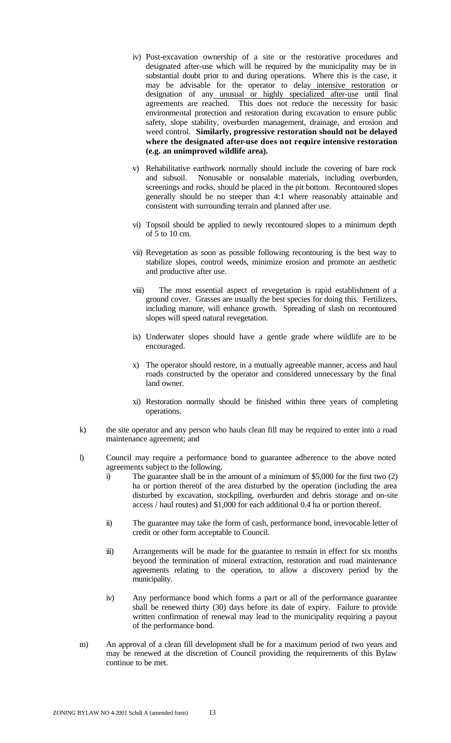- iv) Post-excavation ownership of a site or the restorative procedures and designated after-use which will be required by the municipality may be in substantial doubt prior to and during operations. Where this is the case, it may be advisable for the operator to delay intensive restoration or designation of any unusual or highly specialized after-use until final agreements are reached. This does not reduce the necessity for basic environmental protection and restoration during excavation to ensure public safety, slope stability, overburden management, drainage, and erosion and weed control. **Similarly, progressive restoration should not be delayed where the designated after-use does not require intensive restoration (e.g. an unimproved wildlife area).**
- v) Rehabilitative earthwork normally should include the covering of bare rock and subsoil. Nonusable or nonsalable materials, including overburden, screenings and rocks, should be placed in the pit bottom. Recontoured slopes generally should be no steeper than 4:1 where reasonably attainable and consistent with surrounding terrain and planned after use.
- vi) Topsoil should be applied to newly recontoured slopes to a minimum depth of  $\overline{5}$  to 10 cm.
- vii) Revegetation as soon as possible following recontouring is the best way to stabilize slopes, control weeds, minimize erosion and promote an aesthetic and productive after use.
- viii) The most essential aspect of revegetation is rapid establishment of a ground cover. Grasses are usually the best species for doing this. Fertilizers, including manure, will enhance growth. Spreading of slash on recontoured slopes will speed natural revegetation.
- ix) Underwater slopes should have a gentle grade where wildlife are to be encouraged.
- x) The operator should restore, in a mutually agreeable manner, access and haul roads constructed by the operator and considered unnecessary by the final land owner.
- xi) Restoration normally should be finished within three years of completing operations.
- k) the site operator and any person who hauls clean fill may be required to enter into a road maintenance agreement; and
- l) Council may require a performance bond to guarantee adherence to the above noted agreements subject to the following.
	- i) The guarantee shall be in the amount of a minimum of \$5,000 for the first two (2) ha or portion thereof of the area disturbed by the operation (including the area disturbed by excavation, stockpiling, overburden and debris storage and on-site access / haul routes) and \$1,000 for each additional 0.4 ha or portion thereof.
	- ii) The guarantee may take the form of cash, performance bond, irrevocable letter of credit or other form acceptable to Council.
	- iii) Arrangements will be made for the guarantee to remain in effect for six months beyond the termination of mineral extraction, restoration and road maintenance agreements relating to the operation, to allow a discovery period by the municipality.
	- iv) Any performance bond which forms a part or all of the performance guarantee shall be renewed thirty (30) days before its date of expiry. Failure to provide written confirmation of renewal may lead to the municipality requiring a payout of the performance bond.
- m) An approval of a clean fill development shall be for a maximum period of two years and may be renewed at the discretion of Council providing the requirements of this Bylaw continue to be met.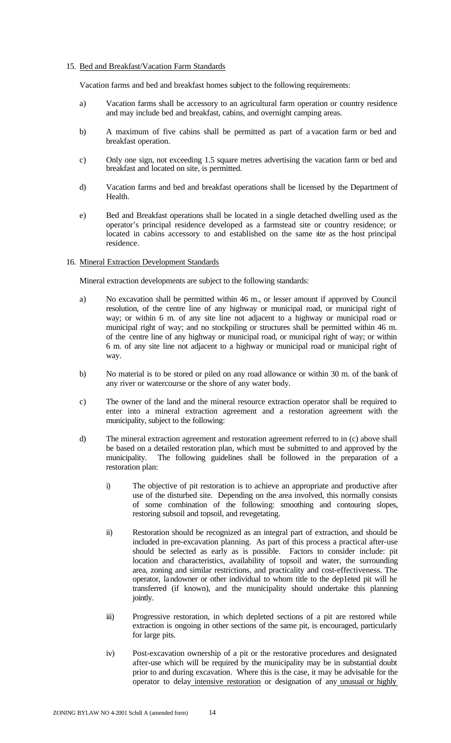#### 15. Bed and Breakfast/Vacation Farm Standards

Vacation farms and bed and breakfast homes subject to the following requirements:

- a) Vacation farms shall be accessory to an agricultural farm operation or country residence and may include bed and breakfast, cabins, and overnight camping areas.
- b) A maximum of five cabins shall be permitted as part of a vacation farm or bed and breakfast operation.
- c) Only one sign, not exceeding 1.5 square metres advertising the vacation farm or bed and breakfast and located on site, is permitted.
- d) Vacation farms and bed and breakfast operations shall be licensed by the Department of Health.
- e) Bed and Breakfast operations shall be located in a single detached dwelling used as the operator's principal residence developed as a farmstead site or country residence; or located in cabins accessory to and established on the same site as the host principal residence.

#### 16. Mineral Extraction Development Standards

Mineral extraction developments are subject to the following standards:

- a) No excavation shall be permitted within 46 m., or lesser amount if approved by Council resolution, of the centre line of any highway or municipal road, or municipal right of way; or within 6 m. of any site line not adjacent to a highway or municipal road or municipal right of way; and no stockpiling or structures shall be permitted within 46 m. of the centre line of any highway or municipal road, or municipal right of way; or within 6 m. of any site line not adjacent to a highway or municipal road or municipal right of way.
- b) No material is to be stored or piled on any road allowance or within 30 m. of the bank of any river or watercourse or the shore of any water body.
- c) The owner of the land and the mineral resource extraction operator shall be required to enter into a mineral extraction agreement and a restoration agreement with the municipality, subject to the following:
- d) The mineral extraction agreement and restoration agreement referred to in (c) above shall be based on a detailed restoration plan, which must be submitted to and approved by the municipality. The following guidelines shall be followed in the preparation of a restoration plan:
	- i) The objective of pit restoration is to achieve an appropriate and productive after use of the disturbed site. Depending on the area involved, this normally consists of some combination of the following: smoothing and contouring slopes, restoring subsoil and topsoil, and revegetating.
	- ii) Restoration should be recognized as an integral part of extraction, and should be included in pre-excavation planning. As part of this process a practical after-use should be selected as early as is possible. Factors to consider include: pit location and characteristics, availability of topsoil and water, the surrounding area, zoning and similar restrictions, and practicality and cost-effectiveness. The operator, landowner or other individual to whom title to the dep1eted pit will he transferred (if known), and the municipality should undertake this planning jointly.
	- iii) Progressive restoration, in which depleted sections of a pit are restored while extraction is ongoing in other sections of the same pit, is encouraged, particularly for large pits.
	- iv) Post-excavation ownership of a pit or the restorative procedures and designated after-use which will be required by the municipality may be in substantial doubt prior to and during excavation. Where this is the case, it may be advisable for the operator to delay intensive restoration or designation of any unusual or highly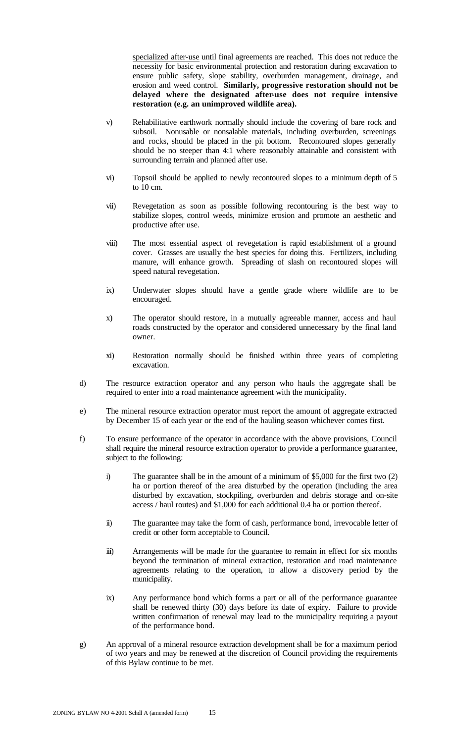specialized after-use until final agreements are reached. This does not reduce the necessity for basic environmental protection and restoration during excavation to ensure public safety, slope stability, overburden management, drainage, and erosion and weed control. **Similarly, progressive restoration should not be delayed where the designated after-use does not require intensive restoration (e.g. an unimproved wildlife area).**

- v) Rehabilitative earthwork normally should include the covering of bare rock and subsoil. Nonusable or nonsalable materials, including overburden, screenings and rocks, should be placed in the pit bottom. Recontoured slopes generally should be no steeper than 4:1 where reasonably attainable and consistent with surrounding terrain and planned after use.
- vi) Topsoil should be applied to newly recontoured slopes to a minimum depth of 5 to 10 cm.
- vii) Revegetation as soon as possible following recontouring is the best way to stabilize slopes, control weeds, minimize erosion and promote an aesthetic and productive after use.
- viii) The most essential aspect of revegetation is rapid establishment of a ground cover. Grasses are usually the best species for doing this. Fertilizers, including manure, will enhance growth. Spreading of slash on recontoured slopes will speed natural revegetation.
- ix) Underwater slopes should have a gentle grade where wildlife are to be encouraged.
- x) The operator should restore, in a mutually agreeable manner, access and haul roads constructed by the operator and considered unnecessary by the final land owner.
- xi) Restoration normally should be finished within three years of completing excavation.
- d) The resource extraction operator and any person who hauls the aggregate shall be required to enter into a road maintenance agreement with the municipality.
- e) The mineral resource extraction operator must report the amount of aggregate extracted by December 15 of each year or the end of the hauling season whichever comes first.
- f) To ensure performance of the operator in accordance with the above provisions, Council shall require the mineral resource extraction operator to provide a performance guarantee, subject to the following:
	- i) The guarantee shall be in the amount of a minimum of \$5,000 for the first two (2) ha or portion thereof of the area disturbed by the operation (including the area disturbed by excavation, stockpiling, overburden and debris storage and on-site access / haul routes) and \$1,000 for each additional 0.4 ha or portion thereof.
	- ii) The guarantee may take the form of cash, performance bond, irrevocable letter of credit or other form acceptable to Council.
	- iii) Arrangements will be made for the guarantee to remain in effect for six months beyond the termination of mineral extraction, restoration and road maintenance agreements relating to the operation, to allow a discovery period by the municipality.
	- ix) Any performance bond which forms a part or all of the performance guarantee shall be renewed thirty (30) days before its date of expiry. Failure to provide written confirmation of renewal may lead to the municipality requiring a payout of the performance bond.
- g) An approval of a mineral resource extraction development shall be for a maximum period of two years and may be renewed at the discretion of Council providing the requirements of this Bylaw continue to be met.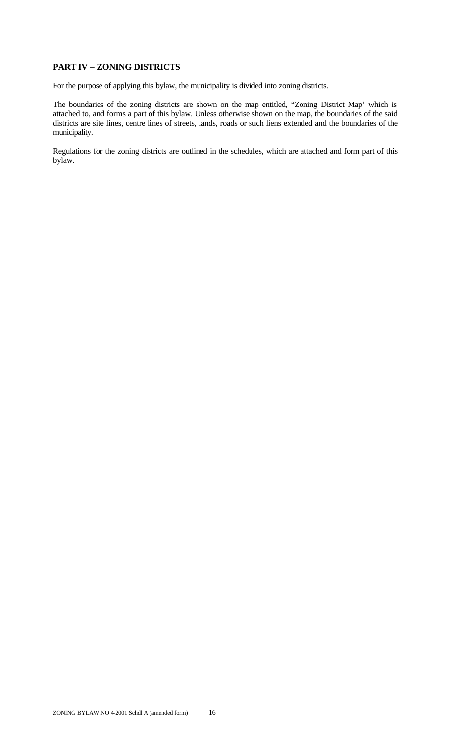# **PART IV – ZONING DISTRICTS**

For the purpose of applying this bylaw, the municipality is divided into zoning districts.

The boundaries of the zoning districts are shown on the map entitled, "Zoning District Map' which is attached to, and forms a part of this bylaw. Unless otherwise shown on the map, the boundaries of the said districts are site lines, centre lines of streets, lands, roads or such liens extended and the boundaries of the municipality.

Regulations for the zoning districts are outlined in the schedules, which are attached and form part of this bylaw.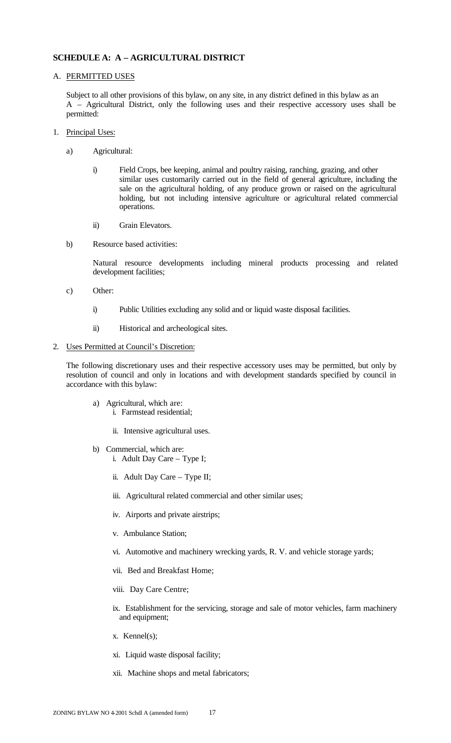# **SCHEDULE A: A – AGRICULTURAL DISTRICT**

#### A. PERMITTED USES

Subject to all other provisions of this bylaw, on any site, in any district defined in this bylaw as an A – Agricultural District, only the following uses and their respective accessory uses shall be permitted:

- 1. Principal Uses:
	- a) Agricultural:
		- i) Field Crops, bee keeping, animal and poultry raising, ranching, grazing, and other similar uses customarily carried out in the field of general agriculture, including the sale on the agricultural holding, of any produce grown or raised on the agricultural holding, but not including intensive agriculture or agricultural related commercial operations.
		- ii) Grain Elevators.
	- b) Resource based activities:

Natural resource developments including mineral products processing and related development facilities;

- c) Other:
	- i) Public Utilities excluding any solid and or liquid waste disposal facilities.
	- ii) Historical and archeological sites.

#### 2. Uses Permitted at Council's Discretion:

The following discretionary uses and their respective accessory uses may be permitted, but only by resolution of council and only in locations and with development standards specified by council in accordance with this bylaw:

- a) Agricultural, which are: i. Farmstead residential;
	- ii. Intensive agricultural uses.
- b) Commercial, which are: i. Adult Day Care – Type I;
	- ii. Adult Day Care Type II;
	- iii. Agricultural related commercial and other similar uses;
	- iv. Airports and private airstrips;
	- v. Ambulance Station;
	- vi. Automotive and machinery wrecking yards, R. V. and vehicle storage yards;
	- vii. Bed and Breakfast Home;
	- viii. Day Care Centre;
	- ix. Establishment for the servicing, storage and sale of motor vehicles, farm machinery and equipment;
	- x. Kennel(s);
	- xi. Liquid waste disposal facility;
	- xii. Machine shops and metal fabricators;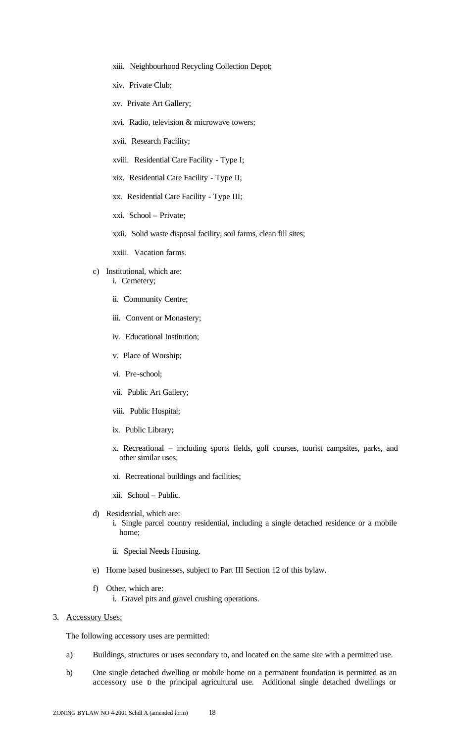- xiii. Neighbourhood Recycling Collection Depot;
- xiv. Private Club;
- xv. Private Art Gallery;
- xvi. Radio, television & microwave towers;
- xvii. Research Facility;
- xviii. Residential Care Facility Type I;
- xix. Residential Care Facility Type II;
- xx. Residential Care Facility Type III;
- xxi. School Private;
- xxii. Solid waste disposal facility, soil farms, clean fill sites;

xxiii. Vacation farms.

- c) Institutional, which are:
	- i. Cemetery;
	- ii. Community Centre;
	- iii. Convent or Monastery;
	- iv. Educational Institution;
	- v. Place of Worship;
	- vi. Pre-school;
	- vii. Public Art Gallery;
	- viii. Public Hospital;
	- ix. Public Library;
	- x. Recreational including sports fields, golf courses, tourist campsites, parks, and other similar uses;
	- xi. Recreational buildings and facilities;

xii. School – Public.

- d) Residential, which are:
	- i. Single parcel country residential, including a single detached residence or a mobile home;
		- ii. Special Needs Housing.
- e) Home based businesses, subject to Part III Section 12 of this bylaw.
- f) Other, which are: i. Gravel pits and gravel crushing operations.
- 3. Accessory Uses:

The following accessory uses are permitted:

- a) Buildings, structures or uses secondary to, and located on the same site with a permitted use.
- b) One single detached dwelling or mobile home on a permanent foundation is permitted as an accessory use to the principal agricultural use. Additional single detached dwellings or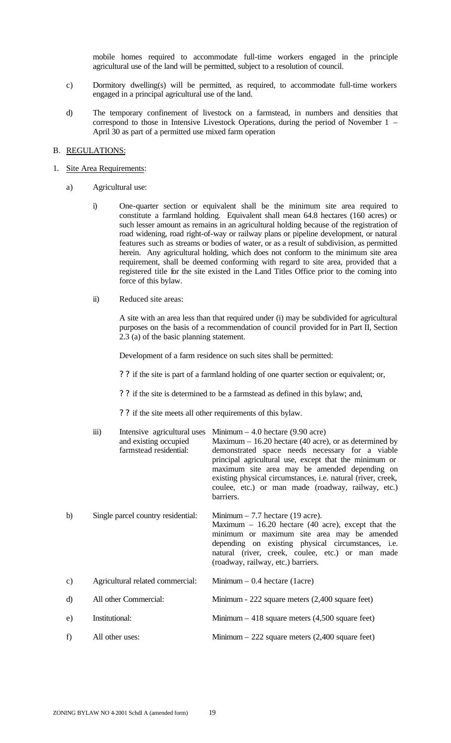mobile homes required to accommodate full-time workers engaged in the principle agricultural use of the land will be permitted, subject to a resolution of council.

- c) Dormitory dwelling(s) will be permitted, as required, to accommodate full-time workers engaged in a principal agricultural use of the land.
- d) The temporary confinement of livestock on a farmstead, in numbers and densities that correspond to those in Intensive Livestock Operations, during the period of November 1 – April 30 as part of a permitted use mixed farm operation

### B. REGULATIONS:

#### 1. Site Area Requirements:

- a) Agricultural use:
	- i) One-quarter section or equivalent shall be the minimum site area required to constitute a farmland holding. Equivalent shall mean 64.8 hectares (160 acres) or such lesser amount as remains in an agricultural holding because of the registration of road widening, road right-of-way or railway plans or pipeline development, or natural features such as streams or bodies of water, or as a result of subdivision, as permitted herein. Any agricultural holding, which does not conform to the minimum site area requirement, shall be deemed conforming with regard to site area, provided that a registered title for the site existed in the Land Titles Office prior to the coming into force of this bylaw.
	- ii) Reduced site areas:

A site with an area less than that required under (i) may be subdivided for agricultural purposes on the basis of a recommendation of council provided for in Part II, Section 2.3 (a) of the basic planning statement.

Development of a farm residence on such sites shall be permitted:

? ? if the site is part of a farmland holding of one quarter section or equivalent; or,

? ? if the site is determined to be a farmstead as defined in this bylaw; and,

? ? if the site meets all other requirements of this bylaw.

|    | $\ddot{\mathbf{u}}$ | Intensive agricultural uses<br>and existing occupied<br>farmstead residential: | Minimum $-4.0$ hectare (9.90 acre)<br>Maximum $-16.20$ hectare (40 acre), or as determined by<br>demonstrated space needs necessary for a viable<br>principal agricultural use, except that the minimum or<br>maximum site area may be amended depending on<br>existing physical circumstances, i.e. natural (river, creek,<br>coulee, etc.) or man made (roadway, railway, etc.)<br>barriers. |
|----|---------------------|--------------------------------------------------------------------------------|------------------------------------------------------------------------------------------------------------------------------------------------------------------------------------------------------------------------------------------------------------------------------------------------------------------------------------------------------------------------------------------------|
| b) |                     | Single parcel country residential:                                             | Minimum $-7.7$ hectare (19 acre).<br>Maximum $-16.20$ hectare (40 acre), except that the<br>minimum or maximum site area may be amended<br>depending on existing physical circumstances, i.e.<br>natural (river, creek, coulee, etc.) or man made<br>(roadway, railway, etc.) barriers.                                                                                                        |
| c) |                     | Agricultural related commercial:                                               | Minimum $-0.4$ hectare (1acre)                                                                                                                                                                                                                                                                                                                                                                 |
| d) |                     | All other Commercial:                                                          | Minimum - 222 square meters (2,400 square feet)                                                                                                                                                                                                                                                                                                                                                |
| e) | Institutional:      |                                                                                | Minimum $-418$ square meters (4,500 square feet)                                                                                                                                                                                                                                                                                                                                               |
| f) | All other uses:     |                                                                                | Minimum $-222$ square meters $(2,400)$ square feet)                                                                                                                                                                                                                                                                                                                                            |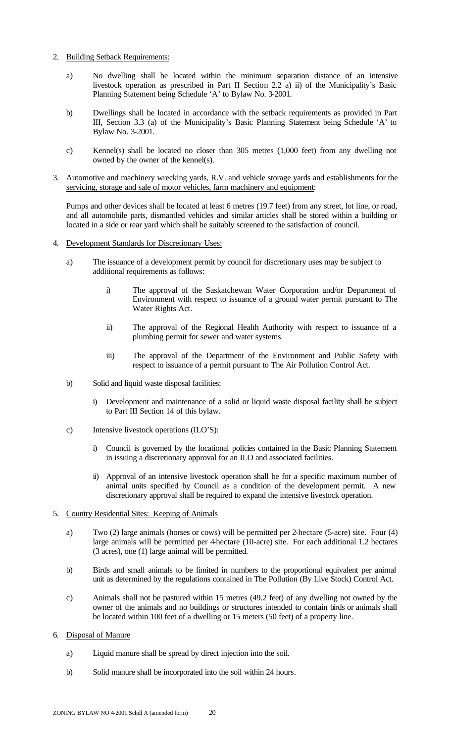- 2. Building Setback Requirements:
	- a) No dwelling shall be located within the minimum separation distance of an intensive livestock operation as prescribed in Part II Section 2.2 a) ii) of the Municipality's Basic Planning Statement being Schedule 'A' to Bylaw No. 3-2001.
	- b) Dwellings shall be located in accordance with the setback requirements as provided in Part III, Section 3.3 (a) of the Municipality's Basic Planning Statement being Schedule 'A' to Bylaw No. 3-2001.
	- c) Kennel(s) shall be located no closer than 305 metres (1,000 feet) from any dwelling not owned by the owner of the kennel(s).
- 3. Automotive and machinery wrecking yards, R.V. and vehicle storage yards and establishments for the servicing, storage and sale of motor vehicles, farm machinery and equipment:

Pumps and other devices shall be located at least 6 metres (19.7 feet) from any street, lot line, or road, and all automobile parts, dismantled vehicles and similar articles shall be stored within a building or located in a side or rear yard which shall be suitably screened to the satisfaction of council.

- 4. Development Standards for Discretionary Uses:
	- a) The issuance of a development permit by council for discretionary uses may be subject to additional requirements as follows:
		- i) The approval of the Saskatchewan Water Corporation and/or Department of Environment with respect to issuance of a ground water permit pursuant to The Water Rights Act.
		- ii) The approval of the Regional Health Authority with respect to issuance of a plumbing permit for sewer and water systems.
		- iii) The approval of the Department of the Environment and Public Safety with respect to issuance of a permit pursuant to The Air Pollution Control Act.
	- b) Solid and liquid waste disposal facilities:
		- i) Development and maintenance of a solid or liquid waste disposal facility shall be subject to Part III Section 14 of this bylaw.
	- c) Intensive livestock operations (ILO'S):
		- i) Council is governed by the locational policies contained in the Basic Planning Statement in issuing a discretionary approval for an ILO and associated facilities.
		- ii) Approval of an intensive livestock operation shall be for a specific maximum number of animal units specified by Council as a condition of the development permit. A new discretionary approval shall be required to expand the intensive livestock operation.
- 5. Country Residential Sites: Keeping of Animals
	- a) Two (2) large animals (horses or cows) will be permitted per 2-hectare (5-acre) site. Four (4) large animals will be permitted per 4-hectare (10-acre) site. For each additional 1.2 hectares (3 acres), one (1) large animal will be permitted.
	- b) Birds and small animals to be limited in numbers to the proportional equivalent per animal unit as determined by the regulations contained in The Pollution (By Live Stock) Control Act.
	- c) Animals shall not be pastured within 15 metres (49.2 feet) of any dwelling not owned by the owner of the animals and no buildings or structures intended to contain birds or animals shall be located within 100 feet of a dwelling or 15 meters (50 feet) of a property line.
- 6. Disposal of Manure
	- a) Liquid manure shall be spread by direct injection into the soil.
	- b) Solid manure shall be incorporated into the soil within 24 hours.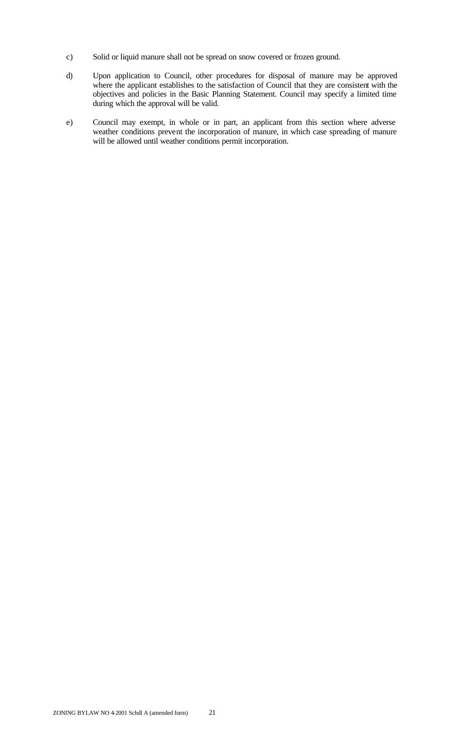- c) Solid or liquid manure shall not be spread on snow covered or frozen ground.
- d) Upon application to Council, other procedures for disposal of manure may be approved where the applicant establishes to the satisfaction of Council that they are consistent with the objectives and policies in the Basic Planning Statement. Council may specify a limited time during which the approval will be valid.
- e) Council may exempt, in whole or in part, an applicant from this section where adverse weather conditions prevent the incorporation of manure, in which case spreading of manure will be allowed until weather conditions permit incorporation.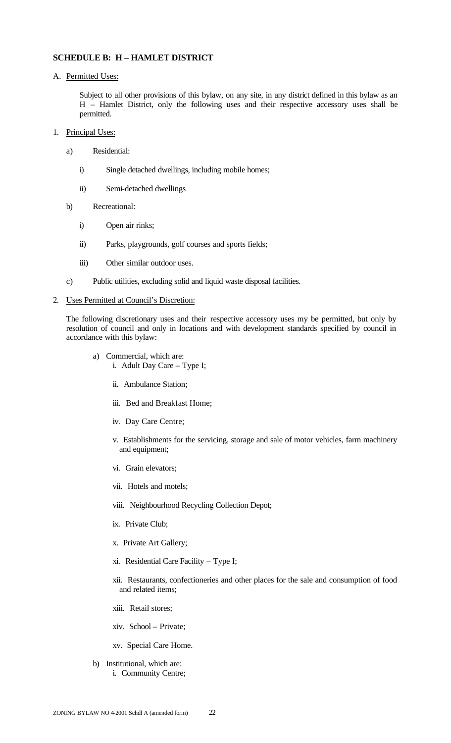### **SCHEDULE B: H – HAMLET DISTRICT**

A. Permitted Uses:

Subject to all other provisions of this bylaw, on any site, in any district defined in this bylaw as an H – Hamlet District, only the following uses and their respective accessory uses shall be permitted.

- 1. Principal Uses:
	- a) Residential:
		- i) Single detached dwellings, including mobile homes;
		- ii) Semi-detached dwellings
	- b) Recreational:
		- i) Open air rinks;
		- ii) Parks, playgrounds, golf courses and sports fields;
		- iii) Other similar outdoor uses.
	- c) Public utilities, excluding solid and liquid waste disposal facilities.

#### 2. Uses Permitted at Council's Discretion:

The following discretionary uses and their respective accessory uses my be permitted, but only by resolution of council and only in locations and with development standards specified by council in accordance with this bylaw:

- a) Commercial, which are: i. Adult Day Care – Type I;
	- ii. Ambulance Station;
	- iii. Bed and Breakfast Home;
	- iv. Day Care Centre;
	- v. Establishments for the servicing, storage and sale of motor vehicles, farm machinery and equipment;
	- vi. Grain elevators;
	- vii. Hotels and motels;
	- viii. Neighbourhood Recycling Collection Depot;
	- ix. Private Club;
	- x. Private Art Gallery;
	- xi. Residential Care Facility Type I;
	- xii. Restaurants, confectioneries and other places for the sale and consumption of food and related items;
	- xiii. Retail stores;
	- xiv. School Private;
	- xv. Special Care Home.
- b) Institutional, which are: i. Community Centre;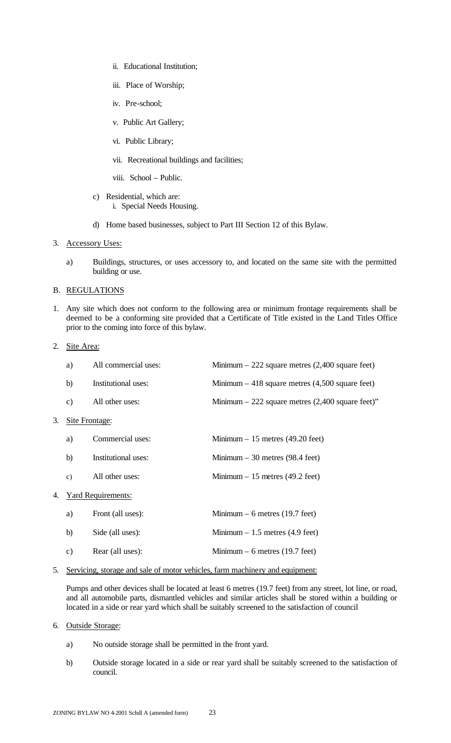- ii. Educational Institution;
- iii. Place of Worship;
- iv. Pre-school;
- v. Public Art Gallery;
- vi. Public Library;
- vii. Recreational buildings and facilities;
- viii. School Public.
- c) Residential, which are: i. Special Needs Housing.
- d) Home based businesses, subject to Part III Section 12 of this Bylaw.
- 3. Accessory Uses:
	- a) Buildings, structures, or uses accessory to, and located on the same site with the permitted building or use.

#### B. REGULATIONS

- 1. Any site which does not conform to the following area or minimum frontage requirements shall be deemed to be a conforming site provided that a Certificate of Title existed in the Land Titles Office prior to the coming into force of this bylaw.
- 2. Site Area:

|    | a)            | All commercial uses:      | Minimum $-222$ square metres $(2,400)$ square feet)  |
|----|---------------|---------------------------|------------------------------------------------------|
|    | b)            | Institutional uses:       | Minimum $-418$ square metres (4,500 square feet)     |
|    | $\mathbf{c})$ | All other uses:           | Minimum $-222$ square metres $(2,400)$ square feet)" |
| 3. |               | Site Frontage:            |                                                      |
|    | a)            | Commercial uses:          | Minimum $-15$ metres (49.20 feet)                    |
|    | b)            | Institutional uses:       | Minimum $-30$ metres (98.4 feet)                     |
|    | $\mathbf{c})$ | All other uses:           | Minimum $-15$ metres (49.2 feet)                     |
| 4. |               | <b>Yard Requirements:</b> |                                                      |
|    | a)            | Front (all uses):         | Minimum $-6$ metres (19.7 feet)                      |
|    | b)            | Side (all uses):          | Minimum $-1.5$ metres (4.9 feet)                     |
|    | $\mathbf{c})$ | Rear (all uses):          | Minimum $-6$ metres (19.7 feet)                      |
|    |               |                           |                                                      |

5. Servicing, storage and sale of motor vehicles, farm machinery and equipment:

Pumps and other devices shall be located at least 6 metres (19.7 feet) from any street, lot line, or road, and all automobile parts, dismantled vehicles and similar articles shall be stored within a building or located in a side or rear yard which shall be suitably screened to the satisfaction of council

- 6. Outside Storage:
	- a) No outside storage shall be permitted in the front yard.
	- b) Outside storage located in a side or rear yard shall be suitably screened to the satisfaction of council.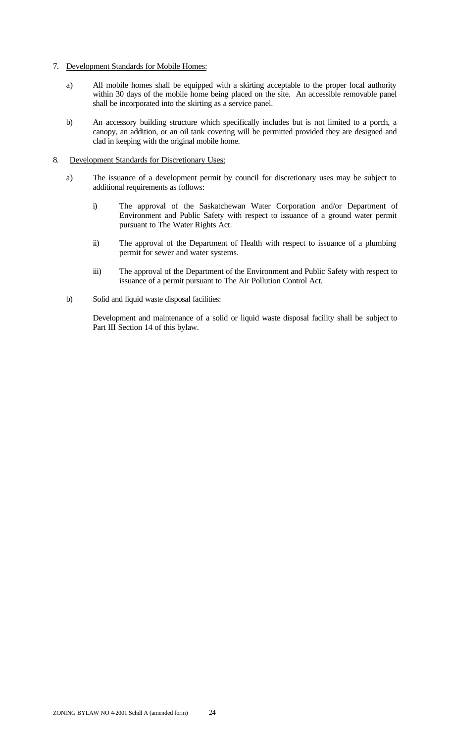- 7. Development Standards for Mobile Homes:
	- a) All mobile homes shall be equipped with a skirting acceptable to the proper local authority within 30 days of the mobile home being placed on the site. An accessible removable panel shall be incorporated into the skirting as a service panel.
	- b) An accessory building structure which specifically includes but is not limited to a porch, a canopy, an addition, or an oil tank covering will be permitted provided they are designed and clad in keeping with the original mobile home.
- 8. Development Standards for Discretionary Uses:
	- a) The issuance of a development permit by council for discretionary uses may be subject to additional requirements as follows:
		- i) The approval of the Saskatchewan Water Corporation and/or Department of Environment and Public Safety with respect to issuance of a ground water permit pursuant to The Water Rights Act.
		- ii) The approval of the Department of Health with respect to issuance of a plumbing permit for sewer and water systems.
		- iii) The approval of the Department of the Environment and Public Safety with respect to issuance of a permit pursuant to The Air Pollution Control Act.
	- b) Solid and liquid waste disposal facilities:

Development and maintenance of a solid or liquid waste disposal facility shall be subject to Part III Section 14 of this bylaw.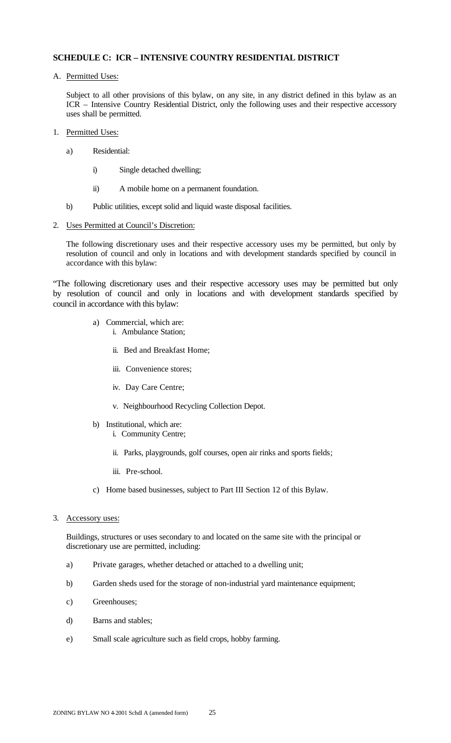# **SCHEDULE C: ICR – INTENSIVE COUNTRY RESIDENTIAL DISTRICT**

A. Permitted Uses:

Subject to all other provisions of this bylaw, on any site, in any district defined in this bylaw as an ICR – Intensive Country Residential District, only the following uses and their respective accessory uses shall be permitted.

- 1. Permitted Uses:
	- a) Residential:
		- i) Single detached dwelling;
		- ii) A mobile home on a permanent foundation.
	- b) Public utilities, except solid and liquid waste disposal facilities.
- 2. Uses Permitted at Council's Discretion:

The following discretionary uses and their respective accessory uses my be permitted, but only by resolution of council and only in locations and with development standards specified by council in accordance with this bylaw:

"The following discretionary uses and their respective accessory uses may be permitted but only by resolution of council and only in locations and with development standards specified by council in accordance with this bylaw:

- a) Commercial, which are: i. Ambulance Station;
	- ii. Bed and Breakfast Home;
	- iii. Convenience stores;
	- iv. Day Care Centre;
	- v. Neighbourhood Recycling Collection Depot.
- b) Institutional, which are:
	- i. Community Centre;
	- ii. Parks, playgrounds, golf courses, open air rinks and sports fields;
	- iii. Pre-school.
- c) Home based businesses, subject to Part III Section 12 of this Bylaw.
- 3. Accessory uses:

Buildings, structures or uses secondary to and located on the same site with the principal or discretionary use are permitted, including:

- a) Private garages, whether detached or attached to a dwelling unit;
- b) Garden sheds used for the storage of non-industrial yard maintenance equipment;
- c) Greenhouses;
- d) Barns and stables;
- e) Small scale agriculture such as field crops, hobby farming.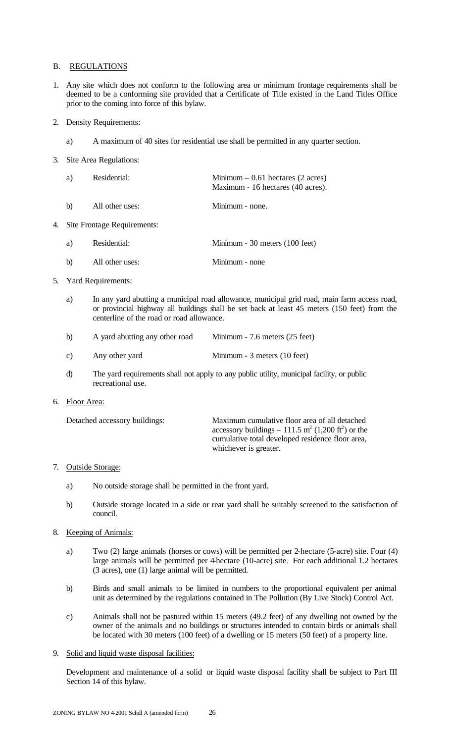#### B. REGULATIONS

- 1. Any site which does not conform to the following area or minimum frontage requirements shall be deemed to be a conforming site provided that a Certificate of Title existed in the Land Titles Office prior to the coming into force of this bylaw.
- 2. Density Requirements:
	- a) A maximum of 40 sites for residential use shall be permitted in any quarter section.
- 3. Site Area Regulations:

| a) | Residential:    | Minimum $-0.61$ hectares (2 acres)<br>Maximum - 16 hectares (40 acres). |
|----|-----------------|-------------------------------------------------------------------------|
| h  | All other uses: | Minimum - none.                                                         |

4. Site Frontage Requirements:

| a) | Residential:    | Minimum - 30 meters (100 feet) |
|----|-----------------|--------------------------------|
| b) | All other uses: | Minimum - none                 |

- 5. Yard Requirements:
	- a) In any yard abutting a municipal road allowance, municipal grid road, main farm access road, or provincial highway all buildings shall be set back at least 45 meters (150 feet) from the centerline of the road or road allowance.
	- b) A yard abutting any other road Minimum 7.6 meters (25 feet)
	- c) Any other yard Minimum 3 meters (10 feet)
	- d) The yard requirements shall not apply to any public utility, municipal facility, or public recreational use.
- 6. Floor Area:

| Maximum cumulative floor area of all detached                              |
|----------------------------------------------------------------------------|
| accessory buildings – 111.5 m <sup>2</sup> (1,200 ft <sup>2</sup> ) or the |
| cumulative total developed residence floor area,                           |
| whichever is greater.                                                      |
|                                                                            |

#### 7. Outside Storage:

- a) No outside storage shall be permitted in the front yard.
- b) Outside storage located in a side or rear yard shall be suitably screened to the satisfaction of council.
- 8. Keeping of Animals:
	- a) Two (2) large animals (horses or cows) will be permitted per 2-hectare (5-acre) site. Four (4) large animals will be permitted per 4-hectare (10-acre) site. For each additional 1.2 hectares (3 acres), one (1) large animal will be permitted.
	- b) Birds and small animals to be limited in numbers to the proportional equivalent per animal unit as determined by the regulations contained in The Pollution (By Live Stock) Control Act.
	- c) Animals shall not be pastured within 15 meters (49.2 feet) of any dwelling not owned by the owner of the animals and no buildings or structures intended to contain birds or animals shall be located with 30 meters (100 feet) of a dwelling or 15 meters (50 feet) of a property line.
- 9. Solid and liquid waste disposal facilities:

Development and maintenance of a solid or liquid waste disposal facility shall be subject to Part III Section 14 of this bylaw.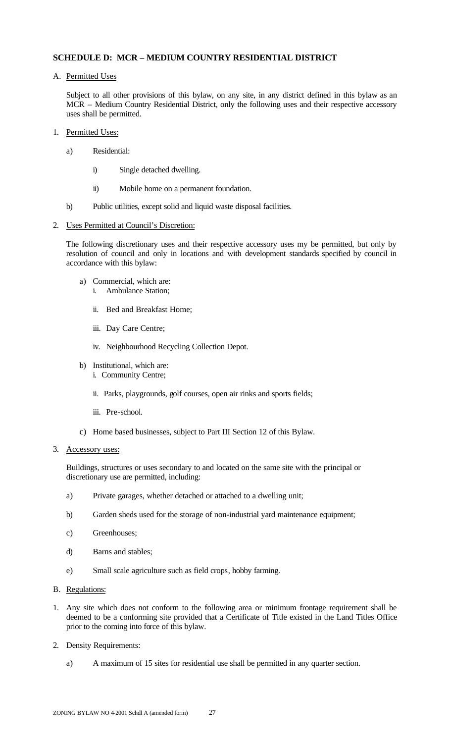# **SCHEDULE D: MCR – MEDIUM COUNTRY RESIDENTIAL DISTRICT**

A. Permitted Uses

Subject to all other provisions of this bylaw, on any site, in any district defined in this bylaw as an MCR – Medium Country Residential District, only the following uses and their respective accessory uses shall be permitted.

- 1. Permitted Uses:
	- a) Residential:
		- i) Single detached dwelling.
		- ii) Mobile home on a permanent foundation.
	- b) Public utilities, except solid and liquid waste disposal facilities.

#### 2. Uses Permitted at Council's Discretion:

The following discretionary uses and their respective accessory uses my be permitted, but only by resolution of council and only in locations and with development standards specified by council in accordance with this bylaw:

- a) Commercial, which are: i. Ambulance Station;
	- ii. Bed and Breakfast Home;
	- iii. Day Care Centre;
	- iv. Neighbourhood Recycling Collection Depot.
- b) Institutional, which are:
	- i. Community Centre;
	- ii. Parks, playgrounds, golf courses, open air rinks and sports fields;
	- iii. Pre-school.
- c) Home based businesses, subject to Part III Section 12 of this Bylaw.
- 3. Accessory uses:

Buildings, structures or uses secondary to and located on the same site with the principal or discretionary use are permitted, including:

- a) Private garages, whether detached or attached to a dwelling unit;
- b) Garden sheds used for the storage of non-industrial yard maintenance equipment;
- c) Greenhouses;
- d) Barns and stables;
- e) Small scale agriculture such as field crops, hobby farming.

# B. Regulations:

- 1. Any site which does not conform to the following area or minimum frontage requirement shall be deemed to be a conforming site provided that a Certificate of Title existed in the Land Titles Office prior to the coming into force of this bylaw.
- 2. Density Requirements:
	- a) A maximum of 15 sites for residential use shall be permitted in any quarter section.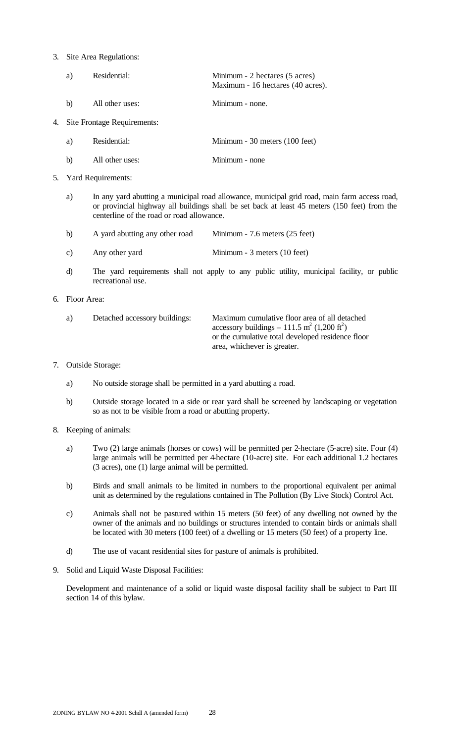#### 3. Site Area Regulations:

| a)           | Residential:    | Minimum - 2 hectares (5 acres)<br>Maximum - 16 hectares (40 acres). |
|--------------|-----------------|---------------------------------------------------------------------|
| $\mathbf{b}$ | All other uses: | Minimum - none.                                                     |

4. Site Frontage Requirements:

| a) | Residential: | Minimum - 30 meters (100 feet) |  |
|----|--------------|--------------------------------|--|
|    |              |                                |  |

- b) All other uses: Minimum none
- 5. Yard Requirements:
	- a) In any yard abutting a municipal road allowance, municipal grid road, main farm access road, or provincial highway all buildings shall be set back at least 45 meters (150 feet) from the centerline of the road or road allowance.
	- b) A yard abutting any other road Minimum 7.6 meters (25 feet)
	- c) Any other yard Minimum 3 meters (10 feet)
	- d) The yard requirements shall not apply to any public utility, municipal facility, or public recreational use.
- 6. Floor Area:

| a) | Detached accessory buildings: | Maximum cumulative floor area of all detached<br>accessory buildings – 111.5 m <sup>2</sup> (1,200 ft <sup>2</sup> )<br>or the cumulative total developed residence floor |
|----|-------------------------------|---------------------------------------------------------------------------------------------------------------------------------------------------------------------------|
|    |                               | area, whichever is greater.                                                                                                                                               |

### 7. Outside Storage:

- a) No outside storage shall be permitted in a yard abutting a road.
- b) Outside storage located in a side or rear yard shall be screened by landscaping or vegetation so as not to be visible from a road or abutting property.

#### 8. Keeping of animals:

- a) Two (2) large animals (horses or cows) will be permitted per 2-hectare (5-acre) site. Four (4) large animals will be permitted per 4-hectare (10-acre) site. For each additional 1.2 hectares (3 acres), one (1) large animal will be permitted.
- b) Birds and small animals to be limited in numbers to the proportional equivalent per animal unit as determined by the regulations contained in The Pollution (By Live Stock) Control Act.
- c) Animals shall not be pastured within 15 meters (50 feet) of any dwelling not owned by the owner of the animals and no buildings or structures intended to contain birds or animals shall be located with 30 meters (100 feet) of a dwelling or 15 meters (50 feet) of a property line.
- d) The use of vacant residential sites for pasture of animals is prohibited.
- 9. Solid and Liquid Waste Disposal Facilities:

Development and maintenance of a solid or liquid waste disposal facility shall be subject to Part III section 14 of this bylaw.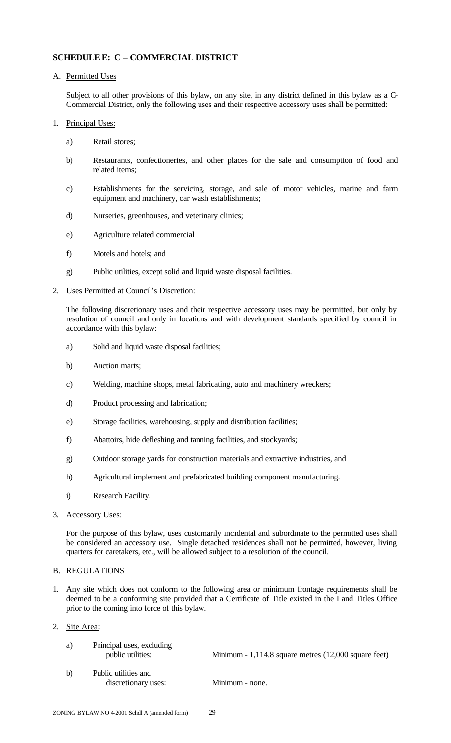# **SCHEDULE E: C – COMMERCIAL DISTRICT**

A. Permitted Uses

Subject to all other provisions of this bylaw, on any site, in any district defined in this bylaw as a C-Commercial District, only the following uses and their respective accessory uses shall be permitted:

- 1. Principal Uses:
	- a) Retail stores;
	- b) Restaurants, confectioneries, and other places for the sale and consumption of food and related items;
	- c) Establishments for the servicing, storage, and sale of motor vehicles, marine and farm equipment and machinery, car wash establishments;
	- d) Nurseries, greenhouses, and veterinary clinics;
	- e) Agriculture related commercial
	- f) Motels and hotels; and
	- g) Public utilities, except solid and liquid waste disposal facilities.
- 2. Uses Permitted at Council's Discretion:

The following discretionary uses and their respective accessory uses may be permitted, but only by resolution of council and only in locations and with development standards specified by council in accordance with this bylaw:

- a) Solid and liquid waste disposal facilities;
- b) Auction marts;
- c) Welding, machine shops, metal fabricating, auto and machinery wreckers;
- d) Product processing and fabrication;
- e) Storage facilities, warehousing, supply and distribution facilities;
- f) Abattoirs, hide defleshing and tanning facilities, and stockyards;
- g) Outdoor storage yards for construction materials and extractive industries, and
- h) Agricultural implement and prefabricated building component manufacturing.
- i) Research Facility.
- 3. Accessory Uses:

For the purpose of this bylaw, uses customarily incidental and subordinate to the permitted uses shall be considered an accessory use. Single detached residences shall not be permitted, however, living quarters for caretakers, etc., will be allowed subject to a resolution of the council.

#### B. REGULATIONS

1. Any site which does not conform to the following area or minimum frontage requirements shall be deemed to be a conforming site provided that a Certificate of Title existed in the Land Titles Office prior to the coming into force of this bylaw.

#### 2. Site Area:

| a) | Principal uses, excluding<br>public utilities: | Minimum - $1,114.8$ square metres $(12,000)$ square feet) |
|----|------------------------------------------------|-----------------------------------------------------------|
| b) | Public utilities and<br>discretionary uses:    | Minimum - none.                                           |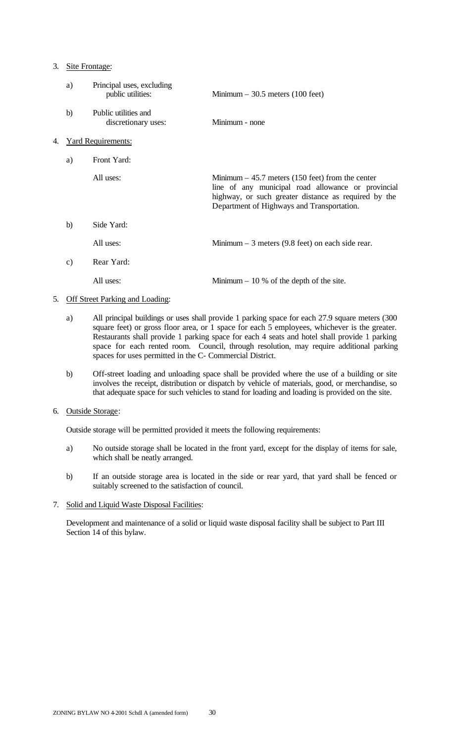#### 3. Site Frontage:

|    | a) | Principal uses, excluding<br>public utilities: | Minimum $-30.5$ meters (100 feet)                                                                                                                                                                             |
|----|----|------------------------------------------------|---------------------------------------------------------------------------------------------------------------------------------------------------------------------------------------------------------------|
|    | b) | Public utilities and<br>discretionary uses:    | Minimum - none                                                                                                                                                                                                |
| 4. |    | <b>Yard Requirements:</b>                      |                                                                                                                                                                                                               |
|    | a) | Front Yard:                                    |                                                                                                                                                                                                               |
|    |    | All uses:                                      | Minimum $-45.7$ meters (150 feet) from the center<br>line of any municipal road allowance or provincial<br>highway, or such greater distance as required by the<br>Department of Highways and Transportation. |
|    | b) | Side Yard:                                     |                                                                                                                                                                                                               |
|    |    | All uses:                                      | Minimum $-$ 3 meters (9.8 feet) on each side rear.                                                                                                                                                            |
|    | c) | Rear Yard:                                     |                                                                                                                                                                                                               |
|    |    | All uses:                                      | Minimum $-10\%$ of the depth of the site.                                                                                                                                                                     |

#### 5. Off Street Parking and Loading:

- a) All principal buildings or uses shall provide 1 parking space for each 27.9 square meters (300 square feet) or gross floor area, or 1 space for each 5 employees, whichever is the greater. Restaurants shall provide 1 parking space for each 4 seats and hotel shall provide 1 parking space for each rented room. Council, through resolution, may require additional parking spaces for uses permitted in the C- Commercial District.
- b) Off-street loading and unloading space shall be provided where the use of a building or site involves the receipt, distribution or dispatch by vehicle of materials, good, or merchandise, so that adequate space for such vehicles to stand for loading and loading is provided on the site.

#### 6. Outside Storage:

Outside storage will be permitted provided it meets the following requirements:

- a) No outside storage shall be located in the front yard, except for the display of items for sale, which shall be neatly arranged.
- b) If an outside storage area is located in the side or rear yard, that yard shall be fenced or suitably screened to the satisfaction of council.
- 7. Solid and Liquid Waste Disposal Facilities:

Development and maintenance of a solid or liquid waste disposal facility shall be subject to Part III Section 14 of this bylaw.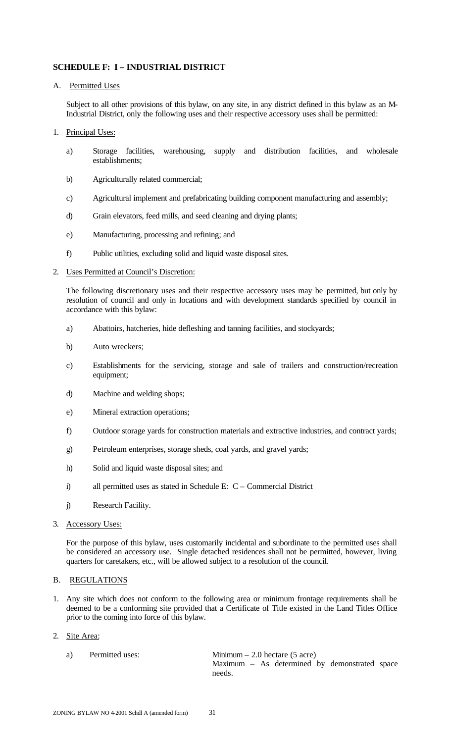# **SCHEDULE F: I – INDUSTRIAL DISTRICT**

# A. Permitted Uses

Subject to all other provisions of this bylaw, on any site, in any district defined in this bylaw as an M-Industrial District, only the following uses and their respective accessory uses shall be permitted:

- 1. Principal Uses:
	- a) Storage facilities, warehousing, supply and distribution facilities, and wholesale establishments;
	- b) Agriculturally related commercial;
	- c) Agricultural implement and prefabricating building component manufacturing and assembly;
	- d) Grain elevators, feed mills, and seed cleaning and drying plants;
	- e) Manufacturing, processing and refining; and
	- f) Public utilities, excluding solid and liquid waste disposal sites.

# 2. Uses Permitted at Council's Discretion:

The following discretionary uses and their respective accessory uses may be permitted, but only by resolution of council and only in locations and with development standards specified by council in accordance with this bylaw:

- a) Abattoirs, hatcheries, hide defleshing and tanning facilities, and stockyards;
- b) Auto wreckers;
- c) Establishments for the servicing, storage and sale of trailers and construction/recreation equipment;
- d) Machine and welding shops;
- e) Mineral extraction operations;
- f) Outdoor storage yards for construction materials and extractive industries, and contract yards;
- g) Petroleum enterprises, storage sheds, coal yards, and gravel yards;
- h) Solid and liquid waste disposal sites; and
- i) all permitted uses as stated in Schedule E: C Commercial District
- j) Research Facility.
- 3. Accessory Uses:

For the purpose of this bylaw, uses customarily incidental and subordinate to the permitted uses shall be considered an accessory use. Single detached residences shall not be permitted, however, living quarters for caretakers, etc., will be allowed subject to a resolution of the council.

#### B. REGULATIONS

1. Any site which does not conform to the following area or minimum frontage requirements shall be deemed to be a conforming site provided that a Certificate of Title existed in the Land Titles Office prior to the coming into force of this bylaw.

#### 2. Site Area:

a) Permitted uses: Minimum – 2.0 hectare (5 acre) Maximum – As determined by demonstrated space needs.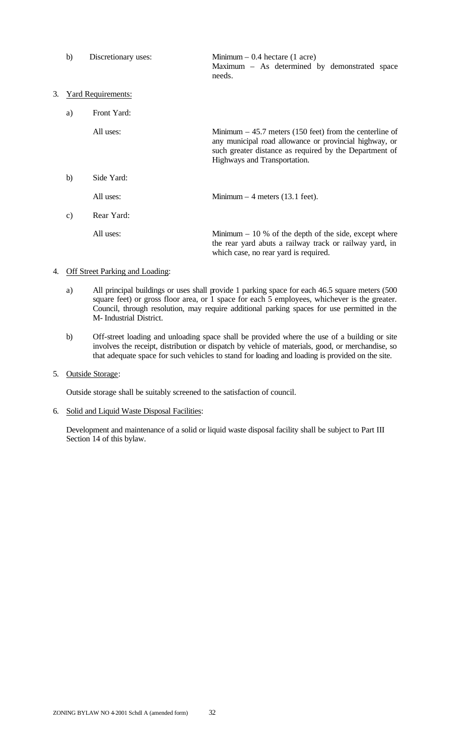|    | b)            | Discretionary uses:       | Minimum $-0.4$ hectare (1 acre)<br>Maximum – As determined by demonstrated space<br>needs.                                                                                                                   |
|----|---------------|---------------------------|--------------------------------------------------------------------------------------------------------------------------------------------------------------------------------------------------------------|
| 3. |               | <b>Yard Requirements:</b> |                                                                                                                                                                                                              |
|    | a)            | Front Yard:               |                                                                                                                                                                                                              |
|    |               | All uses:                 | Minimum $-45.7$ meters (150 feet) from the centerline of<br>any municipal road allowance or provincial highway, or<br>such greater distance as required by the Department of<br>Highways and Transportation. |
|    | b)            | Side Yard:                |                                                                                                                                                                                                              |
|    |               | All uses:                 | Minimum $-4$ meters (13.1 feet).                                                                                                                                                                             |
|    | $\mathbf{c})$ | Rear Yard:                |                                                                                                                                                                                                              |
|    |               | All uses:                 | Minimum $-10\%$ of the depth of the side, except where<br>the rear yard abuts a railway track or railway yard, in<br>which case, no rear yard is required.                                                   |

# 4. Off Street Parking and Loading:

- a) All principal buildings or uses shall provide 1 parking space for each 46.5 square meters (500 square feet) or gross floor area, or 1 space for each 5 employees, whichever is the greater. Council, through resolution, may require additional parking spaces for use permitted in the M- Industrial District.
- b) Off-street loading and unloading space shall be provided where the use of a building or site involves the receipt, distribution or dispatch by vehicle of materials, good, or merchandise, so that adequate space for such vehicles to stand for loading and loading is provided on the site.

#### 5. Outside Storage:

Outside storage shall be suitably screened to the satisfaction of council.

#### 6. Solid and Liquid Waste Disposal Facilities:

Development and maintenance of a solid or liquid waste disposal facility shall be subject to Part III Section 14 of this bylaw.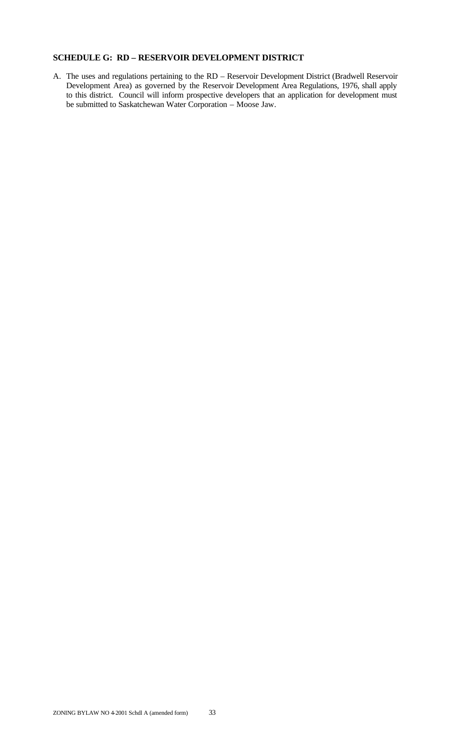# **SCHEDULE G: RD – RESERVOIR DEVELOPMENT DISTRICT**

A. The uses and regulations pertaining to the RD – Reservoir Development District (Bradwell Reservoir Development Area) as governed by the Reservoir Development Area Regulations, 1976, shall apply to this district. Council will inform prospective developers that an application for development must be submitted to Saskatchewan Water Corporation – Moose Jaw.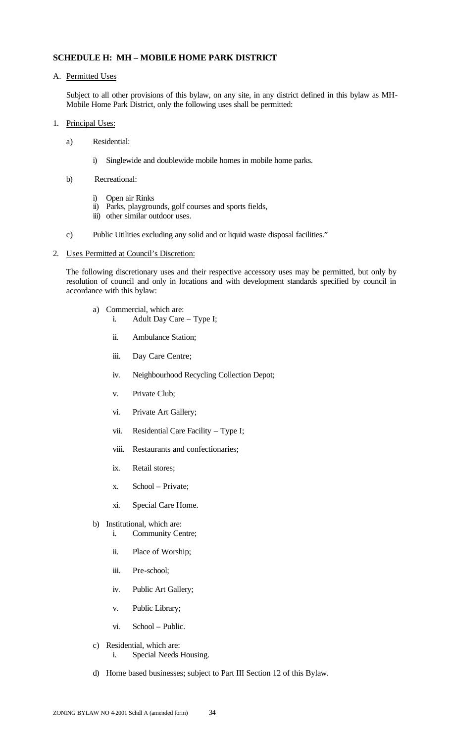# **SCHEDULE H: MH – MOBILE HOME PARK DISTRICT**

A. Permitted Uses

Subject to all other provisions of this bylaw, on any site, in any district defined in this bylaw as MH-Mobile Home Park District, only the following uses shall be permitted:

- 1. Principal Uses:
	- a) Residential:
		- i) Singlewide and doublewide mobile homes in mobile home parks.
	- b) Recreational:
		- i) Open air Rinks
		- ii) Parks, playgrounds, golf courses and sports fields,
		- iii) other similar outdoor uses.
	- c) Public Utilities excluding any solid and or liquid waste disposal facilities."
- 2. Uses Permitted at Council's Discretion:

The following discretionary uses and their respective accessory uses may be permitted, but only by resolution of council and only in locations and with development standards specified by council in accordance with this bylaw:

- a) Commercial, which are:
	- i. Adult Day Care Type I;
		- ii. Ambulance Station;
		- iii. Day Care Centre;
		- iv. Neighbourhood Recycling Collection Depot;
		- v. Private Club;
		- vi. Private Art Gallery;
		- vii. Residential Care Facility Type I;
		- viii. Restaurants and confectionaries;
		- ix. Retail stores;
		- x. School Private;
		- xi. Special Care Home.
- b) Institutional, which are:
	- i. Community Centre;
	- ii. Place of Worship;
	- iii. Pre-school;
	- iv. Public Art Gallery;
	- v. Public Library;
	- vi. School Public.
- c) Residential, which are: i. Special Needs Housing.
- d) Home based businesses; subject to Part III Section 12 of this Bylaw.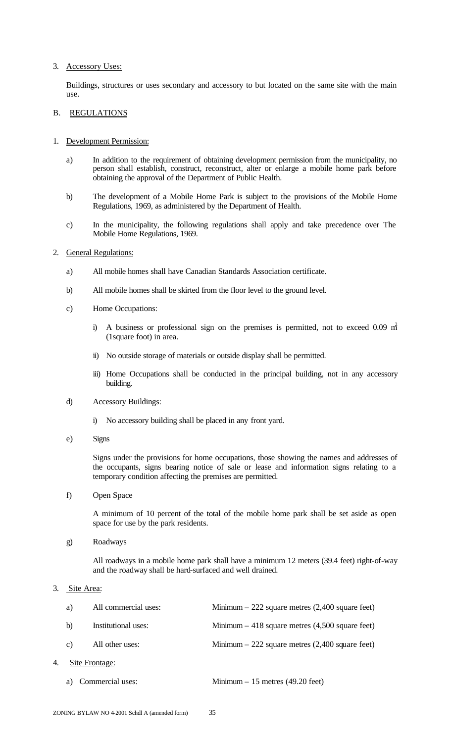#### 3. Accessory Uses:

Buildings, structures or uses secondary and accessory to but located on the same site with the main use.

#### B. REGULATIONS

- 1. Development Permission:
	- a) In addition to the requirement of obtaining development permission from the municipality, no person shall establish, construct, reconstruct, alter or enlarge a mobile home park before obtaining the approval of the Department of Public Health.
	- b) The development of a Mobile Home Park is subject to the provisions of the Mobile Home Regulations, 1969, as administered by the Department of Health.
	- c) In the municipality, the following regulations shall apply and take precedence over The Mobile Home Regulations, 1969.
- 2. General Regulations:
	- a) All mobile homes shall have Canadian Standards Association certificate.
	- b) All mobile homes shall be skirted from the floor level to the ground level.
	- c) Home Occupations:
		- i) A business or professional sign on the premises is permitted, not to exceed 0.09  $m<sup>2</sup>$ (1square foot) in area.
		- ii) No outside storage of materials or outside display shall be permitted.
		- iii) Home Occupations shall be conducted in the principal building, not in any accessory building.
	- d) Accessory Buildings:
		- i) No accessory building shall be placed in any front yard.
	- e) Signs

Signs under the provisions for home occupations, those showing the names and addresses of the occupants, signs bearing notice of sale or lease and information signs relating to a temporary condition affecting the premises are permitted.

f) Open Space

A minimum of 10 percent of the total of the mobile home park shall be set aside as open space for use by the park residents.

g) Roadways

All roadways in a mobile home park shall have a minimum 12 meters (39.4 feet) right-of-way and the roadway shall be hard-surfaced and well drained.

#### 3. Site Area:

|    | a)             | All commercial uses: | Minimum $-222$ square metres $(2,400)$ square feet) |
|----|----------------|----------------------|-----------------------------------------------------|
|    | b)             | Institutional uses:  | Minimum $-418$ square metres $(4,500)$ square feet) |
|    | C)             | All other uses:      | Minimum $-222$ square metres (2,400 square feet)    |
| 4. | Site Frontage: |                      |                                                     |
|    |                | a) Commercial uses:  | Minimum $-15$ metres (49.20 feet)                   |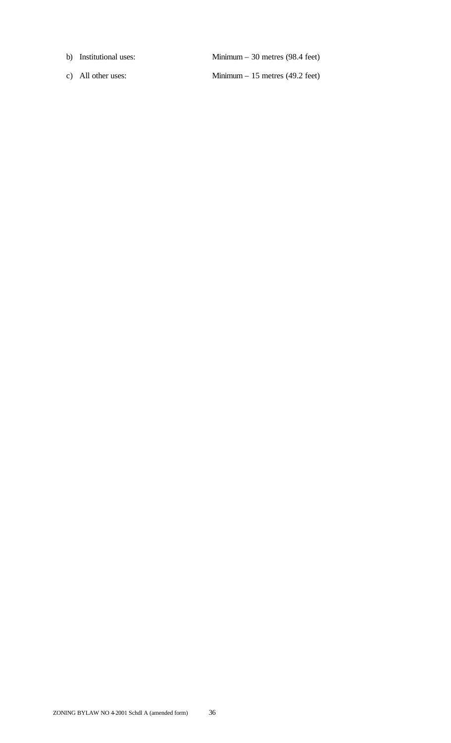- b) Institutional uses: Minimum 30 metres (98.4 feet)
- c) All other uses: Minimum 15 metres (49.2 feet)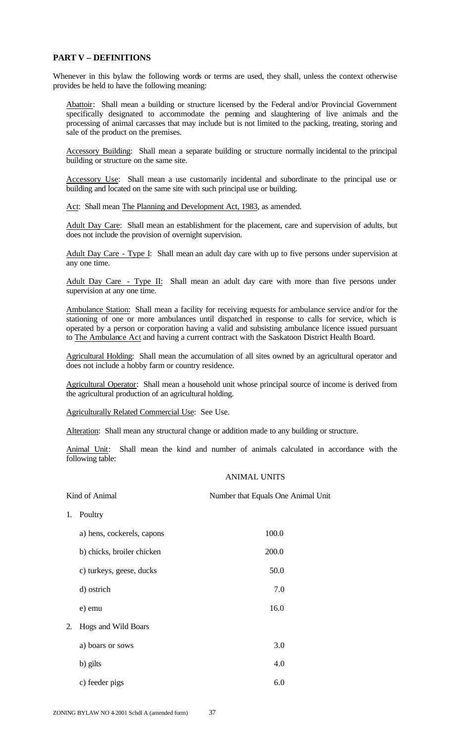### **PART V – DEFINITIONS**

Whenever in this bylaw the following words or terms are used, they shall, unless the context otherwise provides be held to have the following meaning:

Abattoir: Shall mean a building or structure licensed by the Federal and/or Provincial Government specifically designated to accommodate the penning and slaughtering of live animals and the processing of animal carcasses that may include but is not limited to the packing, treating, storing and sale of the product on the premises.

Accessory Building: Shall mean a separate building or structure normally incidental to the principal building or structure on the same site.

Accessory Use: Shall mean a use customarily incidental and subordinate to the principal use or building and located on the same site with such principal use or building.

Act: Shall mean The Planning and Development Act, 1983, as amended.

Adult Day Care: Shall mean an establishment for the placement, care and supervision of adults, but does not include the provision of overnight supervision.

Adult Day Care - Type I: Shall mean an adult day care with up to five persons under supervision at any one time.

Adult Day Care - Type II: Shall mean an adult day care with more than five persons under supervision at any one time.

Ambulance Station: Shall mean a facility for receiving requests for ambulance service and/or for the stationing of one or more ambulances until dispatched in response to calls for service, which is operated by a person or corporation having a valid and subsisting ambulance licence issued pursuant to The Ambulance Act and having a current contract with the Saskatoon District Health Board.

Agricultural Holding: Shall mean the accumulation of all sites owned by an agricultural operator and does not include a hobby farm or country residence.

Agricultural Operator: Shall mean a household unit whose principal source of income is derived from the agricultural production of an agricultural holding.

Agriculturally Related Commercial Use: See Use.

Alteration: Shall mean any structural change or addition made to any building or structure.

Animal Unit: Shall mean the kind and number of animals calculated in accordance with the following table:

#### ANIMAL UNITS

| Kind of Animal |                            | Number that Equals One Animal Unit |
|----------------|----------------------------|------------------------------------|
| 1.             | Poultry                    |                                    |
|                | a) hens, cockerels, capons | 100.0                              |
|                | b) chicks, broiler chicken | 200.0                              |
|                | c) turkeys, geese, ducks   | 50.0                               |
|                | d) ostrich                 | 7.0                                |
|                | e) emu                     | 16.0                               |
| 2.             | Hogs and Wild Boars        |                                    |
|                | a) boars or sows           | 3.0                                |
|                | b) gilts                   | 4.0                                |
|                | c) feeder pigs             | 6.0                                |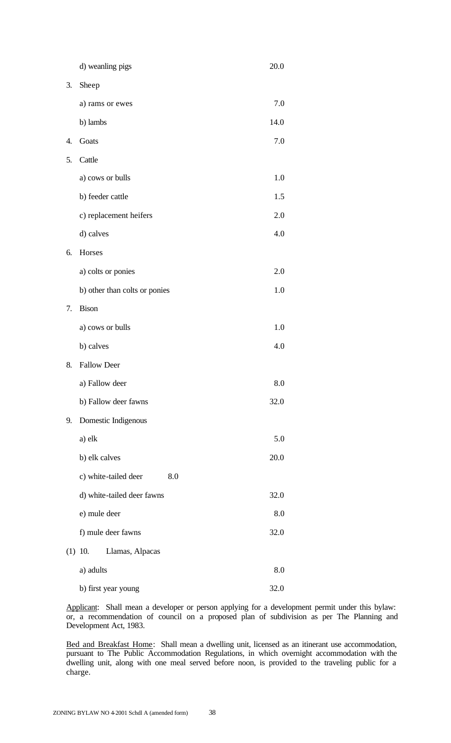|     | d) weanling pigs              | 20.0 |
|-----|-------------------------------|------|
| 3.  | Sheep                         |      |
|     | a) rams or ewes               | 7.0  |
|     | b) lambs                      | 14.0 |
| 4.  | Goats                         | 7.0  |
| 5.  | Cattle                        |      |
|     | a) cows or bulls              | 1.0  |
|     | b) feeder cattle              | 1.5  |
|     | c) replacement heifers        | 2.0  |
|     | d) calves                     | 4.0  |
| 6.  | Horses                        |      |
|     | a) colts or ponies            | 2.0  |
|     | b) other than colts or ponies | 1.0  |
| 7.  | <b>Bison</b>                  |      |
|     | a) cows or bulls              | 1.0  |
|     | b) calves                     | 4.0  |
| 8.  | <b>Fallow Deer</b>            |      |
|     | a) Fallow deer                | 8.0  |
|     | b) Fallow deer fawns          | 32.0 |
| 9.  | Domestic Indigenous           |      |
|     | a) elk                        | 5.0  |
|     | b) elk calves                 | 20.0 |
|     | c) white-tailed deer<br>8.0   |      |
|     | d) white-tailed deer fawns    | 32.0 |
|     | e) mule deer                  | 8.0  |
|     | f) mule deer fawns            | 32.0 |
| (1) | Llamas, Alpacas<br>10.        |      |
|     | a) adults                     | 8.0  |
|     | b) first year young           | 32.0 |

Applicant: Shall mean a developer or person applying for a development permit under this bylaw: or, a recommendation of council on a proposed plan of subdivision as per The Planning and Development Act, 1983.

Bed and Breakfast Home: Shall mean a dwelling unit, licensed as an itinerant use accommodation, pursuant to The Public Accommodation Regulations, in which overnight accommodation with the dwelling unit, along with one meal served before noon, is provided to the traveling public for a charge.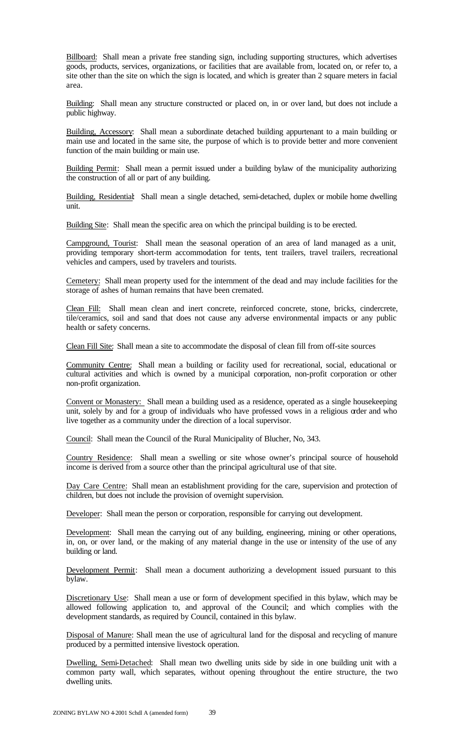Billboard: Shall mean a private free standing sign, including supporting structures, which advertises goods, products, services, organizations, or facilities that are available from, located on, or refer to, a site other than the site on which the sign is located, and which is greater than 2 square meters in facial area.

Building: Shall mean any structure constructed or placed on, in or over land, but does not include a public highway.

Building, Accessory: Shall mean a subordinate detached building appurtenant to a main building or main use and located in the same site, the purpose of which is to provide better and more convenient function of the main building or main use.

Building Permit: Shall mean a permit issued under a building bylaw of the municipality authorizing the construction of all or part of any building.

Building, Residential: Shall mean a single detached, semi-detached, duplex or mobile home dwelling unit.

Building Site: Shall mean the specific area on which the principal building is to be erected.

Campground, Tourist: Shall mean the seasonal operation of an area of land managed as a unit, providing temporary short-term accommodation for tents, tent trailers, travel trailers, recreational vehicles and campers, used by travelers and tourists.

Cemetery: Shall mean property used for the internment of the dead and may include facilities for the storage of ashes of human remains that have been cremated.

Clean Fill: Shall mean clean and inert concrete, reinforced concrete, stone, bricks, cindercrete, tile/ceramics, soil and sand that does not cause any adverse environmental impacts or any public health or safety concerns.

Clean Fill Site: Shall mean a site to accommodate the disposal of clean fill from off-site sources

Community Centre: Shall mean a building or facility used for recreational, social, educational or cultural activities and which is owned by a municipal corporation, non-profit corporation or other non-profit organization.

Convent or Monastery: Shall mean a building used as a residence, operated as a single housekeeping unit, solely by and for a group of individuals who have professed vows in a religious order and who live together as a community under the direction of a local supervisor.

Council: Shall mean the Council of the Rural Municipality of Blucher, No, 343.

Country Residence: Shall mean a swelling or site whose owner's principal source of household income is derived from a source other than the principal agricultural use of that site.

Day Care Centre: Shall mean an establishment providing for the care, supervision and protection of children, but does not include the provision of overnight supervision.

Developer: Shall mean the person or corporation, responsible for carrying out development.

Development: Shall mean the carrying out of any building, engineering, mining or other operations, in, on, or over land, or the making of any material change in the use or intensity of the use of any building or land.

Development Permit: Shall mean a document authorizing a development issued pursuant to this bylaw.

Discretionary Use: Shall mean a use or form of development specified in this bylaw, which may be allowed following application to, and approval of the Council; and which complies with the development standards, as required by Council, contained in this bylaw.

Disposal of Manure: Shall mean the use of agricultural land for the disposal and recycling of manure produced by a permitted intensive livestock operation.

Dwelling, Semi-Detached: Shall mean two dwelling units side by side in one building unit with a common party wall, which separates, without opening throughout the entire structure, the two dwelling units.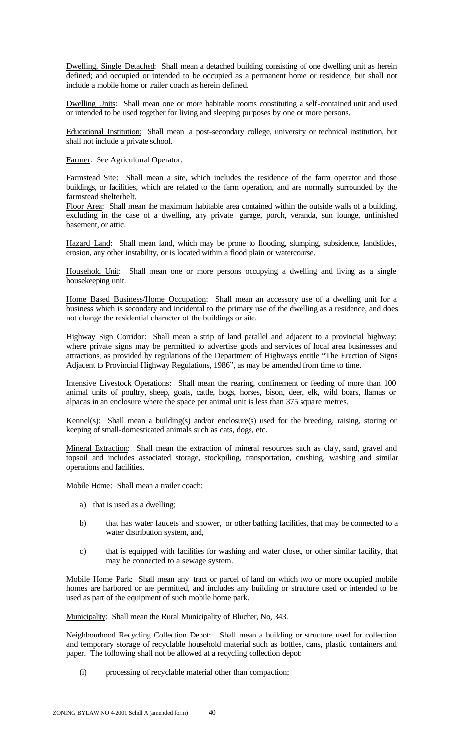Dwelling, Single Detached: Shall mean a detached building consisting of one dwelling unit as herein defined; and occupied or intended to be occupied as a permanent home or residence, but shall not include a mobile home or trailer coach as herein defined.

Dwelling Units: Shall mean one or more habitable rooms constituting a self-contained unit and used or intended to be used together for living and sleeping purposes by one or more persons.

Educational Institution: Shall mean a post-secondary college, university or technical institution, but shall not include a private school.

Farmer: See Agricultural Operator.

Farmstead Site: Shall mean a site, which includes the residence of the farm operator and those buildings, or facilities, which are related to the farm operation, and are normally surrounded by the farmstead shelterbelt.

Floor Area: Shall mean the maximum habitable area contained within the outside walls of a building, excluding in the case of a dwelling, any private garage, porch, veranda, sun lounge, unfinished basement, or attic.

Hazard Land: Shall mean land, which may be prone to flooding, slumping, subsidence, landslides, erosion, any other instability, or is located within a flood plain or watercourse.

Household Unit: Shall mean one or more persons occupying a dwelling and living as a single housekeeping unit.

Home Based Business/Home Occupation: Shall mean an accessory use of a dwelling unit for a business which is secondary and incidental to the primary use of the dwelling as a residence, and does not change the residential character of the buildings or site.

Highway Sign Corridor: Shall mean a strip of land parallel and adjacent to a provincial highway; where private signs may be permitted to advertise goods and services of local area businesses and attractions, as provided by regulations of the Department of Highways entitle "The Erection of Signs Adjacent to Provincial Highway Regulations, 1986", as may be amended from time to time.

Intensive Livestock Operations: Shall mean the rearing, confinement or feeding of more than 100 animal units of poultry, sheep, goats, cattle, hogs, horses, bison, deer, elk, wild boars, llamas or alpacas in an enclosure where the space per animal unit is less than 375 square metres.

Kennel(s): Shall mean a building(s) and/or enclosure(s) used for the breeding, raising, storing or keeping of small-domesticated animals such as cats, dogs, etc.

Mineral Extraction: Shall mean the extraction of mineral resources such as clay, sand, gravel and topsoil and includes associated storage, stockpiling, transportation, crushing, washing and similar operations and facilities.

Mobile Home: Shall mean a trailer coach:

- a) that is used as a dwelling;
- b) that has water faucets and shower, or other bathing facilities, that may be connected to a water distribution system, and,
- c) that is equipped with facilities for washing and water closet, or other similar facility, that may be connected to a sewage system.

Mobile Home Park: Shall mean any tract or parcel of land on which two or more occupied mobile homes are harbored or are permitted, and includes any building or structure used or intended to be used as part of the equipment of such mobile home park.

Municipality: Shall mean the Rural Municipality of Blucher, No, 343.

Neighbourhood Recycling Collection Depot: Shall mean a building or structure used for collection and temporary storage of recyclable household material such as bottles, cans, plastic containers and paper. The following shall not be allowed at a recycling collection depot:

(i) processing of recyclable material other than compaction;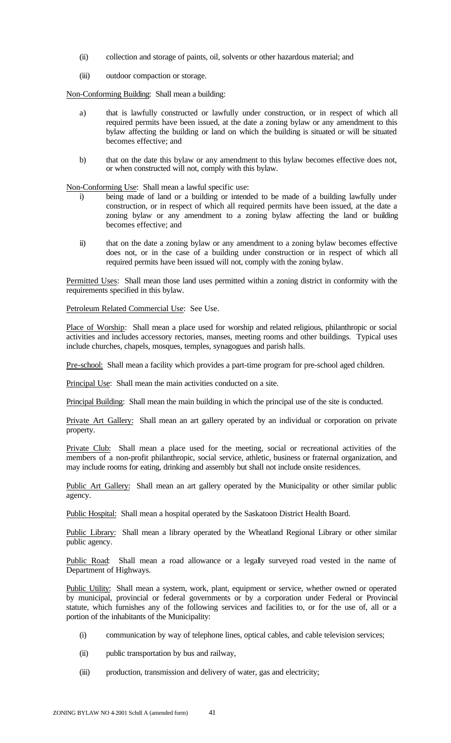- (ii) collection and storage of paints, oil, solvents or other hazardous material; and
- (iii) outdoor compaction or storage.

Non-Conforming Building: Shall mean a building:

- a) that is lawfully constructed or lawfully under construction, or in respect of which all required permits have been issued, at the date a zoning bylaw or any amendment to this bylaw affecting the building or land on which the building is situated or will be situated becomes effective; and
- b) that on the date this bylaw or any amendment to this bylaw becomes effective does not, or when constructed will not, comply with this bylaw.

Non-Conforming Use: Shall mean a lawful specific use:

- i) being made of land or a building or intended to be made of a building lawfully under construction, or in respect of which all required permits have been issued, at the date a zoning bylaw or any amendment to a zoning bylaw affecting the land or building becomes effective; and
- ii) that on the date a zoning bylaw or any amendment to a zoning bylaw becomes effective does not, or in the case of a building under construction or in respect of which all required permits have been issued will not, comply with the zoning bylaw.

Permitted Uses: Shall mean those land uses permitted within a zoning district in conformity with the requirements specified in this bylaw.

Petroleum Related Commercial Use: See Use.

Place of Worship: Shall mean a place used for worship and related religious, philanthropic or social activities and includes accessory rectories, manses, meeting rooms and other buildings. Typical uses include churches, chapels, mosques, temples, synagogues and parish halls.

Pre-school: Shall mean a facility which provides a part-time program for pre-school aged children.

Principal Use: Shall mean the main activities conducted on a site.

Principal Building: Shall mean the main building in which the principal use of the site is conducted.

Private Art Gallery: Shall mean an art gallery operated by an individual or corporation on private property.

Private Club: Shall mean a place used for the meeting, social or recreational activities of the members of a non-profit philanthropic, social service, athletic, business or fraternal organization, and may include rooms for eating, drinking and assembly but shall not include onsite residences.

Public Art Gallery: Shall mean an art gallery operated by the Municipality or other similar public agency.

Public Hospital: Shall mean a hospital operated by the Saskatoon District Health Board.

Public Library: Shall mean a library operated by the Wheatland Regional Library or other similar public agency.

Public Road: Shall mean a road allowance or a legally surveyed road vested in the name of Department of Highways.

Public Utility: Shall mean a system, work, plant, equipment or service, whether owned or operated by municipal, provincial or federal governments or by a corporation under Federal or Provincial statute, which furnishes any of the following services and facilities to, or for the use of, all or a portion of the inhabitants of the Municipality:

- (i) communication by way of telephone lines, optical cables, and cable television services;
- (ii) public transportation by bus and railway,
- (iii) production, transmission and delivery of water, gas and electricity;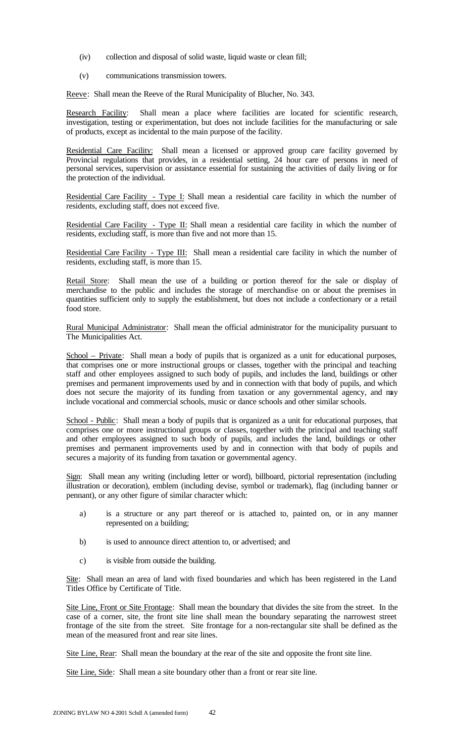- (iv) collection and disposal of solid waste, liquid waste or clean fill;
- (v) communications transmission towers.

Reeve: Shall mean the Reeve of the Rural Municipality of Blucher, No. 343.

Research Facility: Shall mean a place where facilities are located for scientific research, investigation, testing or experimentation, but does not include facilities for the manufacturing or sale of products, except as incidental to the main purpose of the facility.

Residential Care Facility: Shall mean a licensed or approved group care facility governed by Provincial regulations that provides, in a residential setting, 24 hour care of persons in need of personal services, supervision or assistance essential for sustaining the activities of daily living or for the protection of the individual.

Residential Care Facility - Type I: Shall mean a residential care facility in which the number of residents, excluding staff, does not exceed five.

Residential Care Facility - Type II: Shall mean a residential care facility in which the number of residents, excluding staff, is more than five and not more than 15.

Residential Care Facility - Type III: Shall mean a residential care facility in which the number of residents, excluding staff, is more than 15.

Retail Store: Shall mean the use of a building or portion thereof for the sale or display of merchandise to the public and includes the storage of merchandise on or about the premises in quantities sufficient only to supply the establishment, but does not include a confectionary or a retail food store.

Rural Municipal Administrator: Shall mean the official administrator for the municipality pursuant to The Municipalities Act.

School – Private: Shall mean a body of pupils that is organized as a unit for educational purposes, that comprises one or more instructional groups or classes, together with the principal and teaching staff and other employees assigned to such body of pupils, and includes the land, buildings or other premises and permanent improvements used by and in connection with that body of pupils, and which does not secure the majority of its funding from taxation or any governmental agency, and may include vocational and commercial schools, music or dance schools and other similar schools.

School - Public: Shall mean a body of pupils that is organized as a unit for educational purposes, that comprises one or more instructional groups or classes, together with the principal and teaching staff and other employees assigned to such body of pupils, and includes the land, buildings or other premises and permanent improvements used by and in connection with that body of pupils and secures a majority of its funding from taxation or governmental agency.

Sign: Shall mean any writing (including letter or word), billboard, pictorial representation (including illustration or decoration), emblem (including devise, symbol or trademark), flag (including banner or pennant), or any other figure of similar character which:

- a) is a structure or any part thereof or is attached to, painted on, or in any manner represented on a building;
- b) is used to announce direct attention to, or advertised; and
- c) is visible from outside the building.

Site: Shall mean an area of land with fixed boundaries and which has been registered in the Land Titles Office by Certificate of Title.

Site Line, Front or Site Frontage: Shall mean the boundary that divides the site from the street. In the case of a corner, site, the front site line shall mean the boundary separating the narrowest street frontage of the site from the street. Site frontage for a non-rectangular site shall be defined as the mean of the measured front and rear site lines.

Site Line, Rear: Shall mean the boundary at the rear of the site and opposite the front site line.

Site Line, Side: Shall mean a site boundary other than a front or rear site line.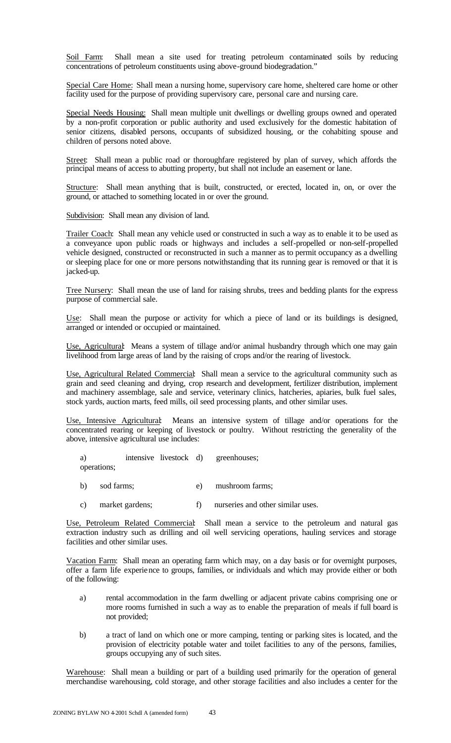Soil Farm: Shall mean a site used for treating petroleum contaminated soils by reducing concentrations of petroleum constituents using above-ground biodegradation."

Special Care Home: Shall mean a nursing home, supervisory care home, sheltered care home or other facility used for the purpose of providing supervisory care, personal care and nursing care.

Special Needs Housing: Shall mean multiple unit dwellings or dwelling groups owned and operated by a non-profit corporation or public authority and used exclusively for the domestic habitation of senior citizens, disabled persons, occupants of subsidized housing, or the cohabiting spouse and children of persons noted above.

Street: Shall mean a public road or thoroughfare registered by plan of survey, which affords the principal means of access to abutting property, but shall not include an easement or lane.

Structure: Shall mean anything that is built, constructed, or erected, located in, on, or over the ground, or attached to something located in or over the ground.

Subdivision: Shall mean any division of land.

Trailer Coach: Shall mean any vehicle used or constructed in such a way as to enable it to be used as a conveyance upon public roads or highways and includes a self-propelled or non-self-propelled vehicle designed, constructed or reconstructed in such a manner as to permit occupancy as a dwelling or sleeping place for one or more persons notwithstanding that its running gear is removed or that it is jacked-up.

Tree Nursery: Shall mean the use of land for raising shrubs, trees and bedding plants for the express purpose of commercial sale.

Use: Shall mean the purpose or activity for which a piece of land or its buildings is designed, arranged or intended or occupied or maintained.

Use, Agricultural: Means a system of tillage and/or animal husbandry through which one may gain livelihood from large areas of land by the raising of crops and/or the rearing of livestock.

Use, Agricultural Related Commercial: Shall mean a service to the agricultural community such as grain and seed cleaning and drying, crop research and development, fertilizer distribution, implement and machinery assemblage, sale and service, veterinary clinics, hatcheries, apiaries, bulk fuel sales, stock yards, auction marts, feed mills, oil seed processing plants, and other similar uses.

Use, Intensive Agricultural: Means an intensive system of tillage and/or operations for the concentrated rearing or keeping of livestock or poultry. Without restricting the generality of the above, intensive agricultural use includes:

a) intensive livestock d) greenhouses;

operations;

- b) sod farms; e) mushroom farms;
- c) market gardens; f) nurseries and other similar uses.

Use, Petroleum Related Commercial: Shall mean a service to the petroleum and natural gas extraction industry such as drilling and oil well servicing operations, hauling services and storage facilities and other similar uses.

Vacation Farm: Shall mean an operating farm which may, on a day basis or for overnight purposes, offer a farm life experience to groups, families, or individuals and which may provide either or both of the following:

- a) rental accommodation in the farm dwelling or adjacent private cabins comprising one or more rooms furnished in such a way as to enable the preparation of meals if full board is not provided;
- b) a tract of land on which one or more camping, tenting or parking sites is located, and the provision of electricity potable water and toilet facilities to any of the persons, families, groups occupying any of such sites.

Warehouse: Shall mean a building or part of a building used primarily for the operation of general merchandise warehousing, cold storage, and other storage facilities and also includes a center for the